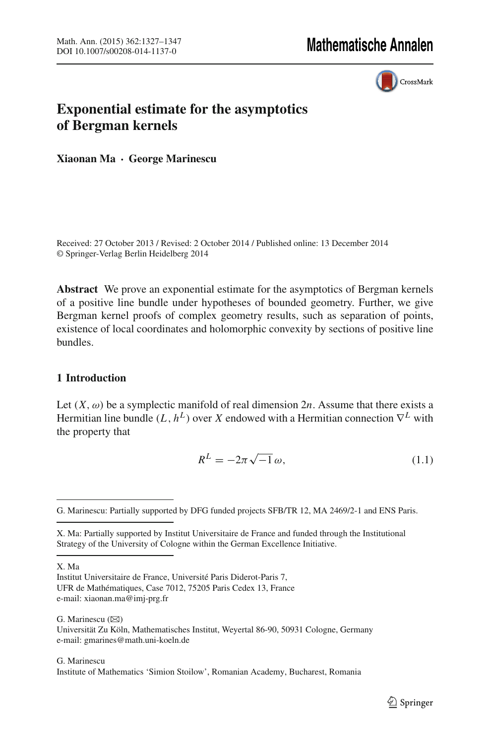

# **Exponential estimate for the asymptotics of Bergman kernels**

**Xiaonan Ma · George Marinescu**

Received: 27 October 2013 / Revised: 2 October 2014 / Published online: 13 December 2014 © Springer-Verlag Berlin Heidelberg 2014

**Abstract** We prove an exponential estimate for the asymptotics of Bergman kernels of a positive line bundle under hypotheses of bounded geometry. Further, we give Bergman kernel proofs of complex geometry results, such as separation of points, existence of local coordinates and holomorphic convexity by sections of positive line bundles.

# **1 Introduction**

Let  $(X, \omega)$  be a symplectic manifold of real dimension  $2n$ . Assume that there exists a Hermitian line bundle  $(L, h^L)$  over *X* endowed with a Hermitian connection  $\nabla^L$  with the property that

$$
R^L = -2\pi\sqrt{-1}\,\omega,\tag{1.1}
$$

X. Ma

Institut Universitaire de France, Université Paris Diderot-Paris 7, UFR de Mathématiques, Case 7012, 75205 Paris Cedex 13, France e-mail: xiaonan.ma@imj-prg.fr

G. Marinescu  $(\boxtimes)$ Universität Zu Köln, Mathematisches Institut, Weyertal 86-90, 50931 Cologne, Germany e-mail: gmarines@math.uni-koeln.de

### G. Marinescu Institute of Mathematics 'Simion Stoilow', Romanian Academy, Bucharest, Romania

<span id="page-0-0"></span>G. Marinescu: Partially supported by DFG funded projects SFB/TR 12, MA 2469/2-1 and ENS Paris.

X. Ma: Partially supported by Institut Universitaire de France and funded through the Institutional Strategy of the University of Cologne within the German Excellence Initiative.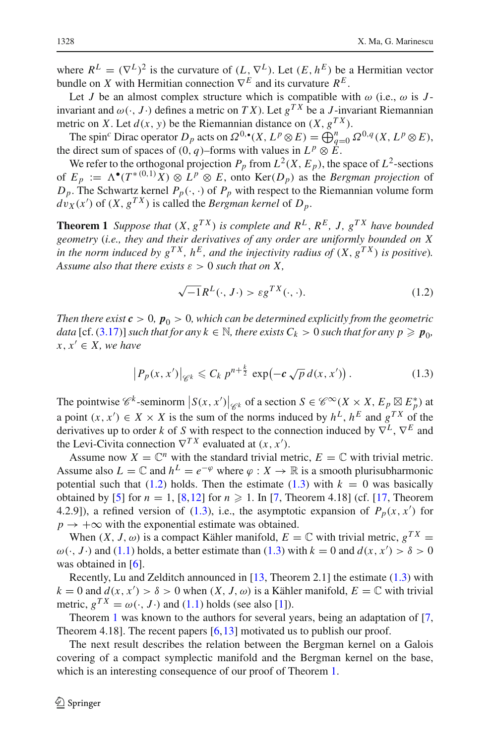where  $R^L = (\nabla^L)^2$  is the curvature of  $(L, \nabla^L)$ . Let  $(E, h^E)$  be a Hermitian vector bundle on *X* with Hermitian connection  $\nabla^E$  and its curvature  $R^E$ .

Let *J* be an almost complex structure which is compatible with  $\omega$  (i.e.,  $\omega$  is *J*invariant and  $\omega(\cdot, J \cdot)$  defines a metric on *TX*). Let  $g^{TX}$  be a *J*-invariant Riemannian metric on *X*. Let  $d(x, y)$  be the Riemannian distance on  $(X, g^{TX})$ .

The spin<sup>c</sup> Dirac operator  $D_p$  acts on  $\Omega^{0,\bullet}(X, L^p \otimes E) = \bigoplus_{q=0}^n \Omega^{0,q}(X, L^p \otimes E)$ , the direct sum of spaces of  $(0, q)$ –forms with values in  $L^p \otimes E$ .

We refer to the orthogonal projection  $P_p$  from  $L^2(X, E_p)$ , the space of  $L^2$ -sections of  $E_p := \Lambda^{\bullet}(T^{*(0,1)}X) \otimes L^p \otimes E$ , onto  $\text{Ker}(D_p)$  as the *Bergman projection* of  $D_p$ . The Schwartz kernel  $P_p(\cdot, \cdot)$  of  $P_p$  with respect to the Riemannian volume form  $dv_X(x')$  of  $(X, g^{TX})$  is called the *Bergman kernel* of  $D_p$ .

<span id="page-1-2"></span>**Theorem 1** *Suppose that*  $(X, g^{TX})$  *is complete and*  $R^L, R^E, J, g^{TX}$  *have bounded geometry* (*i.e., they and their derivatives of any order are uniformly bounded on X in the norm induced by*  $g^{TX}$ *,*  $h^{E}$ *, and the injectivity radius of*  $(X, g^{TX})$  *is positive*). *Assume also that there exists*  $\varepsilon > 0$  *such that on X*,

$$
\sqrt{-1}R^{L}(\cdot, J\cdot) > \varepsilon g^{TX}(\cdot, \cdot). \tag{1.2}
$$

<span id="page-1-0"></span>*Then there exist*  $c > 0$ ,  $p_0 > 0$ , which can be determined explicitly from the geometric *data* [cf. [\(3.17\)](#page-9-0)] *such that for any*  $k \in \mathbb{N}$ *, there exists*  $C_k > 0$  *such that for any*  $p \geq p_0$ *,*  $x, x' \in X$ , we have

$$
\left| P_p(x, x') \right|_{\mathscr{C}^k} \leqslant C_k \, p^{n + \frac{k}{2}} \, \exp\left( -c \sqrt{p} \, d(x, x') \right). \tag{1.3}
$$

<span id="page-1-1"></span>The pointwise  $\mathscr{C}^k$ -seminorm  $\left| S(x, x') \right|_{\mathscr{C}^k}$  of a section  $S \in \mathscr{C}^{\infty}(X \times X, E_p \boxtimes E_p^*)$  at a point  $(x, x') \in X \times X$  is the sum of the norms induced by  $h^L$ ,  $h^E$  and  $g^{TX}$  of the derivatives up to order *<sup>k</sup>* of *<sup>S</sup>* with respect to the connection induced by <sup>∇</sup>*<sup>L</sup>* , <sup>∇</sup>*<sup>E</sup>* and the Levi-Civita connection  $\nabla^{TX}$  evaluated at  $(x, x')$ .

Assume now  $X = \mathbb{C}^n$  with the standard trivial metric,  $E = \mathbb{C}$  with trivial metric. Assume also  $L = \mathbb{C}$  and  $h^L = e^{-\varphi}$  where  $\varphi : X \to \mathbb{R}$  is a smooth plurisubharmonic potential such that  $(1.2)$  holds. Then the estimate  $(1.3)$  with  $k = 0$  was basically obtained by [\[5\]](#page-19-0) for  $n = 1$ , [\[8](#page-19-1),[12](#page-19-2)] for  $n \ge 1$ . In [\[7,](#page-19-3) Theorem 4.18] (cf. [\[17,](#page-19-4) Theorem 4.2.9]), a refined version of [\(1.3\)](#page-1-1), i.e., the asymptotic expansion of  $P_p(x, x')$  for  $p \rightarrow +\infty$  with the exponential estimate was obtained.

When  $(X, J, \omega)$  is a compact Kähler manifold,  $E = \mathbb{C}$  with trivial metric,  $g^{TX} =$  $\omega(\cdot, J \cdot)$  and [\(1.1\)](#page-0-0) holds, a better estimate than [\(1.3\)](#page-1-1) with  $k = 0$  and  $d(x, x') > \delta > 0$ was obtained in [\[6\]](#page-19-5).

Recently, Lu and Zelditch announced in [\[13,](#page-19-6) Theorem 2.1] the estimate [\(1.3\)](#page-1-1) with  $k = 0$  and  $d(x, x') > \delta > 0$  when  $(X, J, \omega)$  is a Kähler manifold,  $E = \mathbb{C}$  with trivial metric,  $g^{TX} = \omega(\cdot, J \cdot)$  and [\(1.1\)](#page-0-0) holds (see also [\[1](#page-19-7)]).

Theorem [1](#page-1-2) was known to the authors for several years, being an adaptation of [\[7,](#page-19-3) Theorem 4.18]. The recent papers  $[6,13]$  $[6,13]$  motivated us to publish our proof.

<span id="page-1-3"></span>The next result describes the relation between the Bergman kernel on a Galois covering of a compact symplectic manifold and the Bergman kernel on the base, which is an interesting consequence of our proof of Theorem [1.](#page-1-2)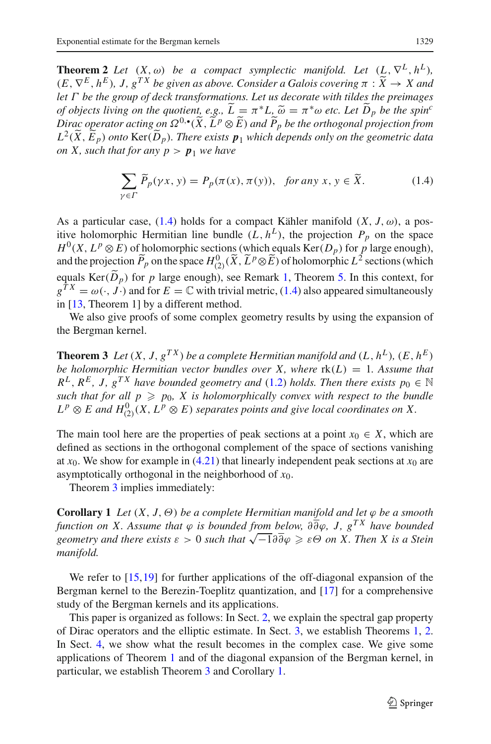**Theorem 2** *Let*  $(X, \omega)$  *be a compact symplectic manifold. Let*  $(L, \nabla^L, h^L)$ *,*  $(E, \nabla^E, h^E)$ , *J*,  $g^{TX}$  *be given as above. Consider a Galois covering*  $\pi : \widetilde{X} \to X$  *and let* Γ *be the group of deck transformations. Let us decorate with tildes the preimages of objects living on the quotient, e.g.,*  $\tilde{L} = \pi^* L$ ,  $\tilde{\omega} = \pi^* \omega$  *etc. Let*  $\tilde{D}_p$  *be the spin*<sup>*c*</sup><br>Dirac operator acting on  $\Omega^{0,\bullet}(\tilde{X}, \tilde{L}^p \otimes \tilde{F})$  and  $\tilde{P}_r$  be the orthogonal projection from *Dirac operator acting on*  $\Omega^{0,\bullet}(\tilde{X}, L^p \otimes \tilde{E})$  and  $\tilde{P}_p$  be the orthogonal projection from<br>*L*<sup>2</sup>( $\tilde{Y}$ ,  $\tilde{E}$ ) ante  $\text{Var}(\tilde{D})$ ). These suite  $\pi$ , which depends only on the accountuin data  $L^2(\tilde{X}, \tilde{E}_p)$  *onto*  $\text{Ker}(\tilde{D}_p)$ *. There exists*  $p_1$  *which depends only on the geometric data*<br>an  $X$  and that for any  $p_1$ ,  $p_2$  is lower have *on X, such that for any*  $p > p_1$  *we have* 

$$
\sum_{\gamma \in \Gamma} \widetilde{P}_p(\gamma x, y) = P_p(\pi(x), \pi(y)), \text{ for any } x, y \in \widetilde{X}.
$$
 (1.4)

<span id="page-2-0"></span>As a particular case, [\(1.4\)](#page-2-0) holds for a compact Kähler manifold  $(X, J, \omega)$ , a positive holomorphic Hermitian line bundle  $(L, h^L)$ , the projection  $P_p$  on the space  $H^0(X, L^p \otimes E)$  of holomorphic sections (which equals Ker( $D_p$ ) for *p* large enough), and the projection  $\widetilde{P}_p$  on the space  $H^0_{(2)}(\widetilde{X}, \widetilde{L}^p \otimes \widetilde{E})$  of holomorphic  $L^2$  sections (which equals  $Ker(D_p)$  for *p* large enough), see Remark [1,](#page-10-0) Theorem [5.](#page-11-0) In this context, for  $g^{TX} = \omega(\cdot, J \cdot)$  and for  $E = \mathbb{C}$  with trivial metric, [\(1.4\)](#page-2-0) also appeared simultaneously in [\[13](#page-19-6), Theorem 1] by a different method.

<span id="page-2-1"></span>We also give proofs of some complex geometry results by using the expansion of the Bergman kernel.

**Theorem 3** *Let*  $(X, J, g^{TX})$  *be a complete Hermitian manifold and*  $(L, h^L)$ ,  $(E, h^E)$ *be holomorphic Hermitian vector bundles over X, where*  $rk(L) = 1$ *. Assume that*  $R^L$ ,  $R^E$ ,  $J$ ,  $g^{TX}$  *have bounded geometry and* [\(1.2\)](#page-1-0) *holds. Then there exists*  $p_0 \in \mathbb{N}$ such that for all  $p \geqslant p_0$ , X is holomorphically convex with respect to the bundle  $L^p \otimes E$  and  $H^0_{(2)}(X, L^p \otimes E)$  *separates points and give local coordinates on* X.

The main tool here are the properties of peak sections at a point  $x_0 \in X$ , which are defined as sections in the orthogonal complement of the space of sections vanishing at  $x_0$ . We show for example in [\(4.21\)](#page-17-0) that linearly independent peak sections at  $x_0$  are asymptotically orthogonal in the neighborhood of *x*0.

Theorem [3](#page-2-1) implies immediately:

<span id="page-2-2"></span>**Corollary 1** *Let*  $(X, J, \Theta)$  *be a complete Hermitian manifold and let*  $\varphi$  *be a smooth function on X. Assume that* ϕ *is bounded from below,* ∂∂ϕ*, J, gT X have bounded geometry and there exists*  $\varepsilon > 0$  *such that*  $\sqrt{-1} \partial \overline{\partial} \varphi \geq \varepsilon \Theta$  *on X. Then X is a Stein*<br>geometry and there exists  $\varepsilon > 0$  such that  $\sqrt{-1} \partial \overline{\partial} \varphi \geq \varepsilon \Theta$  *on X. Then X is a Stein manifold.*

We refer to [\[15](#page-19-8)[,19](#page-20-0)] for further applications of the off-diagonal expansion of the Bergman kernel to the Berezin-Toeplitz quantization, and [\[17\]](#page-19-4) for a comprehensive study of the Bergman kernels and its applications.

This paper is organized as follows: In Sect. [2,](#page-3-0) we explain the spectral gap property of Dirac operators and the elliptic estimate. In Sect. [3,](#page-6-0) we establish Theorems [1,](#page-1-2) [2.](#page-1-3) In Sect. [4,](#page-10-1) we show what the result becomes in the complex case. We give some applications of Theorem [1](#page-1-2) and of the diagonal expansion of the Bergman kernel, in particular, we establish Theorem [3](#page-2-1) and Corollary [1.](#page-2-2)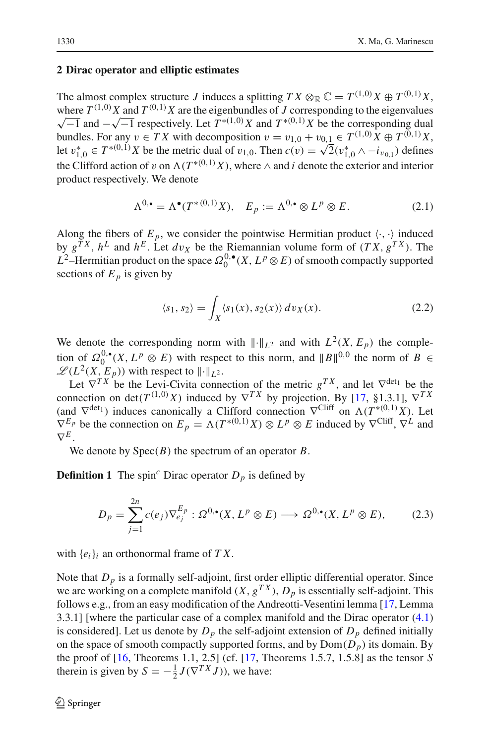## <span id="page-3-0"></span>**2 Dirac operator and elliptic estimates**

The almost complex structure *J* induces a splitting  $TX \otimes_{\mathbb{R}} \mathbb{C} = T^{(1,0)}X \oplus T^{(0,1)}X$ , where  $T^{(1,0)}X$  and  $T^{(0,1)}X$  are the eigenbundles of *J* corresponding to the eigenvalues  $\sqrt{-1}$  and  $-\sqrt{-1}$  respectively. Let  $T^{*(1,0)}X$  and  $T^{*(0,1)}X$  be the corresponding dual bundles. For any  $v \in TX$  with decomposition  $v = v_{1,0} + v_{0,1} \in T^{(1,0)}X \oplus T^{(0,1)}X$ , let  $v_{1,0}^* \in T^{*(0,1)}X$  be the metric dual of  $v_{1,0}$ . Then  $c(v) = \sqrt{2}(v_{1,0}^* \wedge -i_{v_{0,1}})$  defines the Clifford action of v on  $\Lambda(T^{*(0,1)}X)$ , where  $\wedge$  and *i* denote the exterior and interior product respectively. We denote

$$
\Lambda^{0,\bullet} = \Lambda^{\bullet}(T^{*(0,1)}X), \quad E_p := \Lambda^{0,\bullet} \otimes L^p \otimes E. \tag{2.1}
$$

Along the fibers of  $E_p$ , we consider the pointwise Hermitian product  $\langle \cdot, \cdot \rangle$  induced by  $g^{TX}$ ,  $h^L$  and  $h^E$ . Let  $dv_X$  be the Riemannian volume form of  $(TX, g^{TX})$ . The  $L^2$ –Hermitian product on the space  $\Omega_0^{0,\bullet}(X, L^p \otimes E)$  of smooth compactly supported sections of  $E_p$  is given by

$$
\langle s_1, s_2 \rangle = \int_X \langle s_1(x), s_2(x) \rangle \, dv_X(x). \tag{2.2}
$$

<span id="page-3-2"></span>We denote the corresponding norm with  $\|\cdot\|_{L^2}$  and with  $L^2(X, E_p)$  the completion of  $\Omega_0^{0,\bullet}(X, L^p \otimes E)$  with respect to this norm, and  $||B||^{0,0}$  the norm of  $B \in$  $\mathscr{L}(L^2(X, E_p))$  with respect to  $\|\cdot\|_{L^2}$ .

Let  $\nabla^{TX}$  be the Levi-Civita connection of the metric  $g^{TX}$ , and let  $\nabla^{\text{det}_1}$  be the connection on det( $T^{(1,0)}X$ ) induced by  $\nabla^{TX}$  by projection. By [\[17,](#page-19-4) §1.3.1],  $\nabla^{TX}$ (and  $\nabla^{\text{det}_1}$ ) induces canonically a Clifford connection  $\nabla^{\text{Cliff}}$  on  $\Lambda(T^{*(0,1)}X)$ . Let  $\nabla^{E_p}$  be the connection on  $E_p = \Lambda(T^{*(0,1)}X) \otimes L^p \otimes E$  induced by  $\nabla^{\text{Cliff}}$ ,  $\nabla^L$  and  $\nabla^E$ .

We denote by Spec(*B*) the spectrum of an operator *B*.

**Definition 1** The spin<sup>c</sup> Dirac operator  $D_p$  is defined by

$$
D_p = \sum_{j=1}^{2n} c(e_j) \nabla_{e_j}^{E_p} : \Omega^{0,\bullet}(X, L^p \otimes E) \longrightarrow \Omega^{0,\bullet}(X, L^p \otimes E), \tag{2.3}
$$

with {*ei*}*<sup>i</sup>* an orthonormal frame of *T X*.

<span id="page-3-1"></span>Note that  $D_p$  is a formally self-adjoint, first order elliptic differential operator. Since we are working on a complete manifold  $(X, g^{TX})$ ,  $D_p$  is essentially self-adjoint. This follows e.g., from an easy modification of the Andreotti-Vesentini lemma [\[17](#page-19-4), Lemma 3.3.1] [where the particular case of a complex manifold and the Dirac operator [\(4.1\)](#page-11-1) is considered]. Let us denote by  $D_p$  the self-adjoint extension of  $D_p$  defined initially on the space of smooth compactly supported forms, and by  $Dom(D_p)$  its domain. By the proof of [\[16,](#page-19-9) Theorems 1.1, 2.5] (cf. [\[17](#page-19-4), Theorems 1.5.7, 1.5.8] as the tensor *S* therein is given by  $S = -\frac{1}{2}J(\nabla^{TX}J)$ , we have: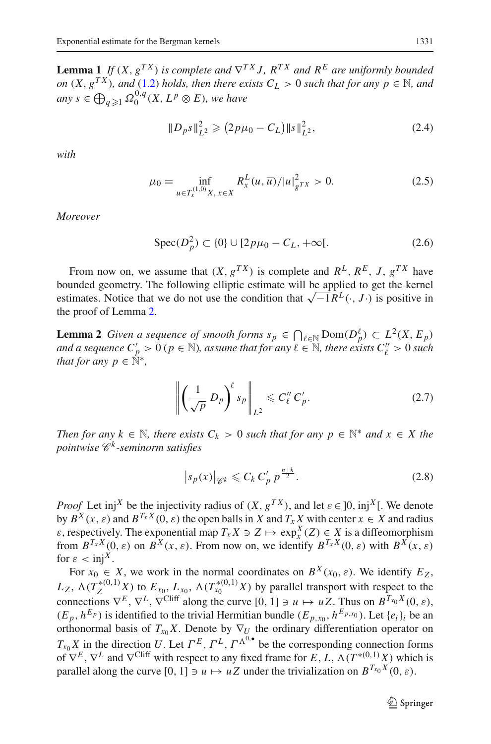**Lemma 1** *If*  $(X, g^{TX})$  *is complete and*  $\nabla^{TX} J$ *,*  $R^{TX}$  *and*  $R^{E}$  *are uniformly bounded on*  $(X, g^{TX})$ *, and*  $(1.2)$  *holds, then there exists*  $C_L > 0$  *such that for any p*  $\in \mathbb{N}$ *, and*  $any s \in \bigoplus_{q \geqslant 1} \Omega^{0,q}_0(X, L^p \otimes E)$ , we have

$$
||D_{p}s||_{L^{2}}^{2} \geq (2p\mu_{0} - C_{L})||s||_{L^{2}}^{2}, \qquad (2.4)
$$

*with*

$$
\mu_0 = \inf_{u \in T_x^{(1,0)}X, x \in X} R_x^L(u, \overline{u})/|u|_{g^{TX}}^2 > 0.
$$
\n(2.5)

*Moreover*

$$
Spec(D_p^2) \subset \{0\} \cup [2p\mu_0 - C_L, +\infty[.
$$
 (2.6)

From now on, we assume that  $(X, g^{TX})$  is complete and  $R^L, R^E, J, g^{TX}$  have bounded geometry. The following elliptic estimate will be applied to get the kernel estimates. Notice that we do not use the condition that √−1*R<sup>L</sup>* (·, *<sup>J</sup>* ·) is positive in the proof of Lemma [2.](#page-4-0)

<span id="page-4-0"></span>**Lemma 2** *Given a sequence of smooth forms*  $s_p \in \bigcap_{\ell \in \mathbb{N}} \text{Dom}(D_p^{\ell}) \subset L^2(X, E_p)$ and a sequence  $C_p' > 0$  ( $p \in \mathbb{N}$ ), assume that for any  $\ell \in \mathbb{N}$ , there exists  $C_\ell'' > 0$  such *that for any p*  $\in \mathbb{N}^*$ ,

$$
\left\| \left( \frac{1}{\sqrt{p}} D_p \right)^{\ell} s_p \right\|_{L^2} \leqslant C_{\ell}^{\prime\prime} C_p^{\prime}.
$$
 (2.7)

<span id="page-4-1"></span>*Then for any*  $k \in \mathbb{N}$ *, there exists*  $C_k > 0$  *such that for any*  $p \in \mathbb{N}^*$  *and*  $x \in X$  *the pointwise C <sup>k</sup> -seminorm satisfies*

$$
|s_p(x)|_{\mathscr{C}^k} \leq C_k C'_p p^{\frac{n+k}{2}}.
$$
 (2.8)

*Proof* Let inj<sup>X</sup> be the injectivity radius of  $(X, g^{TX})$ , and let  $\varepsilon \in [0, \text{inj}^X]$ . We denote by  $B^X(x, \varepsilon)$  and  $B^{T_X X}(0, \varepsilon)$  the open balls in *X* and  $T_X X$  with center  $x \in X$  and radius  $\varepsilon$ , respectively. The exponential map  $T_x X \ni Z \mapsto \exp^X_X(Z) \in X$  is a diffeomorphism from  $B^{T_x X}(0, \varepsilon)$  on  $B^X(x, \varepsilon)$ . From now on, we identify  $B^{T_x X}(0, \varepsilon)$  with  $B^X(x, \varepsilon)$ for  $\varepsilon < \text{inj}^X$ .

For  $x_0 \in X$ , we work in the normal coordinates on  $B^X(x_0, \varepsilon)$ . We identify  $E_Z$ ,  $L_Z$ ,  $\Lambda(T_Z^{*(0,1)}X)$  to  $E_{x_0}$ ,  $L_{x_0}$ ,  $\Lambda(T_{x_0}^{*(0,1)}X)$  by parallel transport with respect to the connections  $\nabla^E$ ,  $\nabla^L$ ,  $\nabla^{\text{Cliff}}$  along the curve [0, 1]  $\ni u \mapsto uZ$ . Thus on  $B^{T_{x_0}X}(0, \varepsilon)$ ,  $(E_p, h^{E_p})$  is identified to the trivial Hermitian bundle  $(E_{p,x_0}, h^{E_{p,x_0}})$ . Let  $\{e_i\}_i$  be an orthonormal basis of  $T_{x_0}X$ . Denote by  $\nabla_U$  the ordinary differentiation operator on  $T_{x_0} X$  in the direction *U*. Let  $\Gamma^E$ ,  $\Gamma^L$ ,  $\Gamma^{\Lambda^0,\bullet}$  be the corresponding connection forms of  $\nabla^E$ ,  $\nabla^L$  and  $\nabla^{Cliff}$  with respect to any fixed frame for *E*, *L*,  $\Lambda(T^{*(0,1)}X)$  which is parallel along the curve  $[0, 1] \ni u \mapsto uZ$  under the trivialization on  $B^{T_{x_0}X}(0, \varepsilon)$ .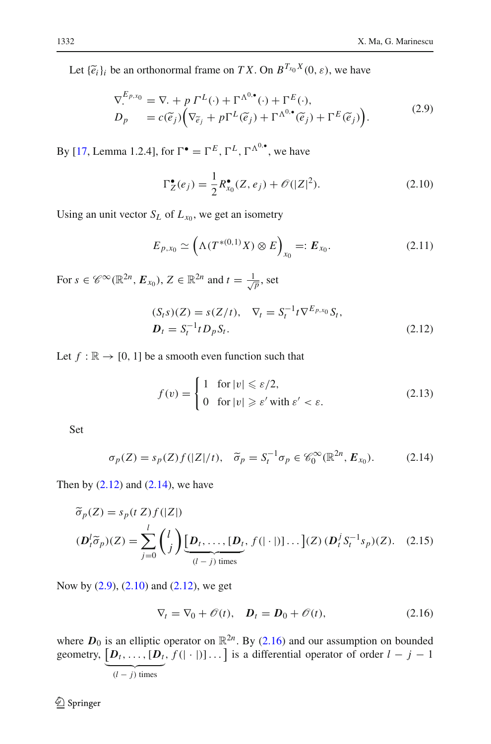Let  ${\{\tilde{e}_i\}}_i$  be an orthonormal frame on *T X*. On  $B^{T_{x_0}X}(0, \varepsilon)$ , we have

$$
\nabla_{\cdot}^{E_{p,x_0}} = \nabla_{\cdot} + p \Gamma^L(\cdot) + \Gamma^{\Lambda^{0,\bullet}}(\cdot) + \Gamma^E(\cdot),
$$
\n
$$
D_p = c(\widetilde{e}_j) \Big( \nabla_{\widetilde{e}_j} + p \Gamma^L(\widetilde{e}_j) + \Gamma^{\Lambda^{0,\bullet}}(\widetilde{e}_j) + \Gamma^E(\widetilde{e}_j) \Big). \tag{2.9}
$$

<span id="page-5-2"></span>By [\[17](#page-19-4), Lemma 1.2.4], for  $\Gamma^{\bullet} = \Gamma^E$ ,  $\Gamma^L$ ,  $\Gamma^{\Lambda^{0,\bullet}}$ , we have

$$
\Gamma_Z^{\bullet}(e_j) = \frac{1}{2} R_{x_0}^{\bullet}(Z, e_j) + \mathcal{O}(|Z|^2).
$$
 (2.10)

<span id="page-5-3"></span>Using an unit vector  $S_L$  of  $L_{x_0}$ , we get an isometry

$$
E_{p,x_0} \simeq \left(\Lambda(T^{*(0,1)}X) \otimes E\right)_{x_0} =: E_{x_0}.
$$
 (2.11)

<span id="page-5-0"></span>For  $s \in \mathscr{C}^{\infty}(\mathbb{R}^{2n}, \mathbf{E}_{x_0})$ ,  $Z \in \mathbb{R}^{2n}$  and  $t = \frac{1}{\sqrt{p}}$ , set

$$
(S_t s)(Z) = s(Z/t), \quad \nabla_t = S_t^{-1} t \nabla^{E_{p,x_0}} S_t,
$$
  

$$
D_t = S_t^{-1} t D_p S_t.
$$
 (2.12)

Let  $f : \mathbb{R} \to [0, 1]$  be a smooth even function such that

$$
f(v) = \begin{cases} 1 & \text{for } |v| \le \varepsilon/2, \\ 0 & \text{for } |v| \ge \varepsilon' \text{ with } \varepsilon' < \varepsilon. \end{cases}
$$
 (2.13)

<span id="page-5-6"></span>Set

$$
\sigma_p(Z) = s_p(Z)f(|Z|/t), \quad \widetilde{\sigma}_p = S_t^{-1}\sigma_p \in \mathscr{C}_0^{\infty}(\mathbb{R}^{2n}, E_{x_0}).
$$
 (2.14)

<span id="page-5-5"></span><span id="page-5-1"></span>Then by  $(2.12)$  and  $(2.14)$ , we have

$$
\widetilde{\sigma}_p(Z) = s_p(t Z) f(|Z|)
$$
  
\n
$$
(\mathbf{D}_t^j \widetilde{\sigma}_p)(Z) = \sum_{j=0}^l {l \choose j} \underbrace{[\mathbf{D}_t, \dots, [\mathbf{D}_t, f(|\cdot|)] \dots ](Z)}_{(l-j) \text{ times}} (\mathbf{D}_t^j S_t^{-1} s_p)(Z). \quad (2.15)
$$

Now by [\(2.9\)](#page-5-2), [\(2.10\)](#page-5-3) and [\(2.12\)](#page-5-0), we get

$$
\nabla_t = \nabla_0 + \mathcal{O}(t), \quad \mathbf{D}_t = \mathbf{D}_0 + \mathcal{O}(t), \tag{2.16}
$$

<span id="page-5-4"></span>where  $D_0$  is an elliptic operator on  $\mathbb{R}^{2n}$ . By [\(2.16\)](#page-5-4) and our assumption on bounded geometry,  $[D_t, \ldots, [D_t, f(| \cdot |)] \ldots]$  is a differential operator of order  $l - j - 1$  $(l - j)$  times

<sup>2</sup> Springer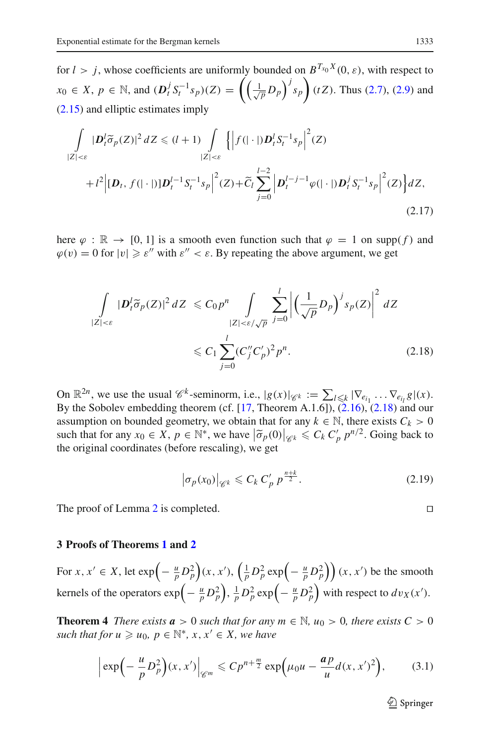for  $l > j$ , whose coefficients are uniformly bounded on  $B^{T_{x_0}X}(0, \varepsilon)$ , with respect to *x*<sub>0</sub> ∈ *X*, *p* ∈ ℕ, and  $(D_t^j S_t^{-1} s_p)(Z) = \left( \left( \frac{1}{\sqrt{p}} D_p \right)^j s_p \right) (tZ)$ . Thus [\(2.7\)](#page-4-1), [\(2.9\)](#page-5-2) and [\(2.15\)](#page-5-5) and elliptic estimates imply

$$
\int_{|Z|<\varepsilon} |\mathbf{D}_t^l \tilde{\sigma}_p(Z)|^2 dZ \leq (l+1) \int_{|Z|<\varepsilon} \left\{ \left| f(|\cdot|) \mathbf{D}_t^l S_t^{-1} s_p \right|^2(Z) + l^2 \left| [\mathbf{D}_t, f(|\cdot|)] \mathbf{D}_t^{l-1} S_t^{-1} s_p \right|^2(Z) + \tilde{C}_l \sum_{j=0}^{l-2} \left| \mathbf{D}_t^{l-j-1} \varphi(|\cdot|) \mathbf{D}_t^j S_t^{-1} s_p \right|^2(Z) \right\} dZ,
$$
\n(2.17)

<span id="page-6-1"></span>here  $\varphi : \mathbb{R} \to [0, 1]$  is a smooth even function such that  $\varphi = 1$  on supp(f) and  $\varphi(v) = 0$  for  $|v| \ge \varepsilon''$  with  $\varepsilon'' < \varepsilon$ . By repeating the above argument, we get

$$
\int_{|Z|<\varepsilon} |\mathbf{D}_i^l \widetilde{\sigma}_p(Z)|^2 dZ \leqslant C_0 p^n \int_{|Z|<\varepsilon/\sqrt{p}} \sum_{j=0}^l \left| \left(\frac{1}{\sqrt{p}} D_p\right)^j s_p(Z) \right|^2 dZ
$$
\n
$$
\leqslant C_1 \sum_{j=0}^l (C_j'' C_p')^2 p^n. \tag{2.18}
$$

On  $\mathbb{R}^{2n}$ , we use the usual  $\mathscr{C}^k$ -seminorm, i.e.,  $|g(x)|_{\mathscr{C}^k} := \sum_{i} |\langle e_i | \nabla_{e_{i_1}} \dots \nabla_{e_{i_l}} g | (x) \rangle$ . By the Sobolev embedding theorem (cf.  $[17,$  $[17,$  Theorem A.1.6]),  $(2.16)$ ,  $(2.18)$  and our assumption on bounded geometry, we obtain that for any  $k \in \mathbb{N}$ , there exists  $C_k > 0$ such that for any  $x_0 \in X$ ,  $p \in \mathbb{N}^*$ , we have  $|\tilde{\sigma}_p(0)|_{\mathscr{C}^k} \leq C_k C'_p p^{n/2}$ . Going back to the original coordinates (before rescaling), we get the original coordinates (before rescaling), we get

$$
\left|\sigma_p(x_0)\right|_{\mathscr{C}^k} \leqslant C_k C'_p \, p^{\frac{n+k}{2}}.\tag{2.19}
$$

The proof of Lemma [2](#page-4-0) is completed.

#### <span id="page-6-0"></span>**3 Proofs of Theorems [1](#page-1-2) and [2](#page-1-3)**

For  $x, x' \in X$ , let  $\exp\left(-\frac{u}{p}D_p^2\right)(x, x')$ ,  $\left(\frac{1}{p}D_p^2 \exp\left(-\frac{u}{p}D_p^2\right)\right)(x, x')$  be the smooth kernels of the operators  $\exp\left(-\frac{u}{p}D_p^2\right), \frac{1}{p}D_p^2 \exp\left(-\frac{u}{p}D_p^2\right)$  with respect to  $dv_X(x')$ .

<span id="page-6-3"></span><span id="page-6-2"></span>**Theorem 4** *There exists*  $a > 0$  *such that for any*  $m \in \mathbb{N}$ *,*  $u_0 > 0$ *, there exists*  $C > 0$ *such that for*  $u \geq u_0$ ,  $p \in \mathbb{N}^*$ ,  $x, x' \in X$ , we have

$$
\left|\exp\left(-\frac{u}{p}D_p^2\right)(x,x')\right|_{\mathscr{C}^m}\leqslant Cp^{n+\frac{m}{2}}\exp\left(\mu_0u-\frac{ap}{u}d(x,x')^2\right),\tag{3.1}
$$

 $\mathcal{D}$  Springer

$$
\Box
$$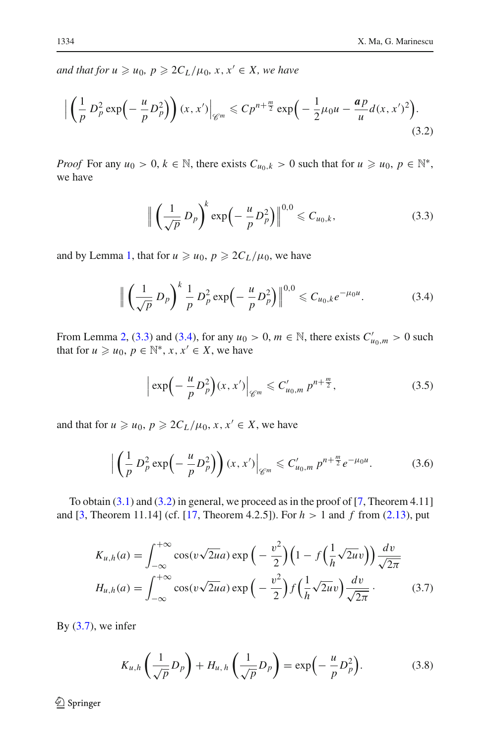<span id="page-7-2"></span> $and$  that for  $u \geq u_0$ ,  $p \geq 2C_L/\mu_0$ ,  $x, x' \in X$ , we have

$$
\left| \left( \frac{1}{p} D_p^2 \exp\left( -\frac{u}{p} D_p^2 \right) \right) (x, x') \right|_{\mathscr{C}^m} \leqslant C p^{n + \frac{m}{2}} \exp\left( -\frac{1}{2} \mu_0 u - \frac{a p}{u} d(x, x')^2 \right). \tag{3.2}
$$

*Proof* For any  $u_0 > 0, k \in \mathbb{N}$ , there exists  $C_{u_0,k} > 0$  such that for  $u \ge u_0, p \in \mathbb{N}^*$ , we have

$$
\left\| \left( \frac{1}{\sqrt{p}} D_p \right)^k \exp \left( -\frac{u}{p} D_p^2 \right) \right\|^{0,0} \leqslant C_{u_0,k}, \tag{3.3}
$$

<span id="page-7-1"></span><span id="page-7-0"></span>and by Lemma [1,](#page-3-1) that for  $u \geq u_0$ ,  $p \geq 2C_L/\mu_0$ , we have

$$
\left\| \left( \frac{1}{\sqrt{p}} D_p \right)^k \frac{1}{p} D_p^2 \exp \left( - \frac{u}{p} D_p^2 \right) \right\|^{0,0} \leq C_{u_0,k} e^{-\mu_0 u}.
$$
 (3.4)

From Lemma [2,](#page-4-0) [\(3.3\)](#page-7-0) and [\(3.4\)](#page-7-1), for any  $u_0 > 0$ ,  $m \in \mathbb{N}$ , there exists  $C'_{u_0,m} > 0$  such that for  $u \geq u_0, p \in \mathbb{N}^*, x, x' \in X$ , we have

$$
\left| \exp\left( -\frac{u}{p} D_p^2 \right) (x, x') \right|_{\mathscr{C}^m} \leq C'_{u_0, m} p^{n + \frac{m}{2}}, \tag{3.5}
$$

<span id="page-7-6"></span><span id="page-7-5"></span>and that for  $u \geq u_0$ ,  $p \geq 2C_L/\mu_0$ ,  $x, x' \in X$ , we have

$$
\left| \left( \frac{1}{p} D_p^2 \exp\left( -\frac{u}{p} D_p^2 \right) \right) (x, x') \right|_{\mathscr{C}^m} \leq C'_{u_0, m} p^{n + \frac{m}{2}} e^{-\mu_0 u}.
$$
 (3.6)

<span id="page-7-3"></span>To obtain  $(3.1)$  and  $(3.2)$  in general, we proceed as in the proof of  $[7,$  $[7,$  Theorem 4.11] and [\[3,](#page-19-10) Theorem 11.14] (cf. [\[17,](#page-19-4) Theorem 4.2.5]). For *h* > 1 and *f* from [\(2.13\)](#page-5-6), put

$$
K_{u,h}(a) = \int_{-\infty}^{+\infty} \cos(v\sqrt{2u}a) \exp\left(-\frac{v^2}{2}\right) \left(1 - f\left(\frac{1}{h}\sqrt{2u}v\right)\right) \frac{dv}{\sqrt{2\pi}}
$$
  

$$
H_{u,h}(a) = \int_{-\infty}^{+\infty} \cos(v\sqrt{2u}a) \exp\left(-\frac{v^2}{2}\right) f\left(\frac{1}{h}\sqrt{2u}v\right) \frac{dv}{\sqrt{2\pi}}.
$$
(3.7)

By  $(3.7)$ , we infer

$$
K_{u,h}\left(\frac{1}{\sqrt{p}}D_p\right) + H_{u,h}\left(\frac{1}{\sqrt{p}}D_p\right) = \exp\left(-\frac{u}{p}D_p^2\right). \tag{3.8}
$$

<span id="page-7-4"></span><sup>2</sup> Springer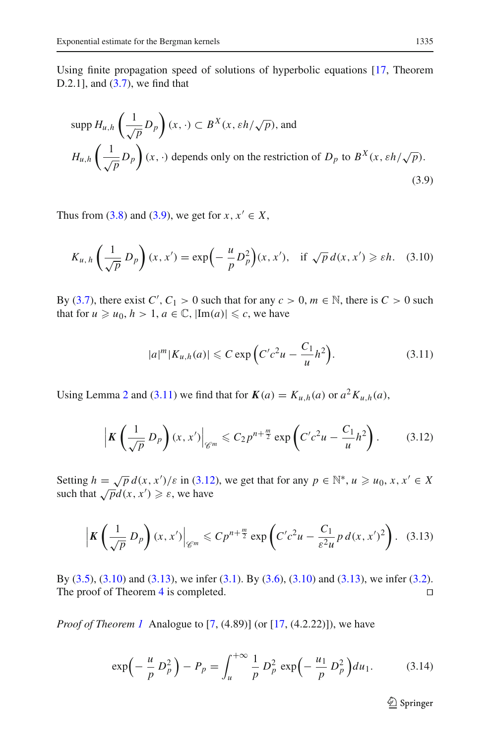Using finite propagation speed of solutions of hyperbolic equations [\[17,](#page-19-4) Theorem D.2.1], and [\(3.7\)](#page-7-3), we find that

<span id="page-8-0"></span>
$$
\text{supp } H_{u,h}\left(\frac{1}{\sqrt{p}}D_p\right)(x,\cdot) \subset B^X(x,\varepsilon h/\sqrt{p}), \text{ and}
$$
\n
$$
H_{u,h}\left(\frac{1}{\sqrt{p}}D_p\right)(x,\cdot) \text{ depends only on the restriction of } D_p \text{ to } B^X(x,\varepsilon h/\sqrt{p}).
$$
\n(3.9)

<span id="page-8-3"></span>Thus from [\(3.8\)](#page-7-4) and [\(3.9\)](#page-8-0), we get for  $x, x' \in X$ ,

$$
K_{u,h}\left(\frac{1}{\sqrt{p}}\,D_p\right)(x,x')=\exp\left(-\frac{u}{p}D_p^2\right)(x,x'),\quad\text{if }\sqrt{p}\,d(x,x')\geqslant\varepsilon h.\quad(3.10)
$$

By [\(3.7\)](#page-7-3), there exist  $C'$ ,  $C_1 > 0$  such that for any  $c > 0$ ,  $m \in \mathbb{N}$ , there is  $C > 0$  such that for  $u \ge u_0$ ,  $h > 1$ ,  $a \in \mathbb{C}$ ,  $|\text{Im}(a)| \le c$ , we have

$$
|a|^m |K_{u,h}(a)| \leqslant C \exp\left(C'c^2 u - \frac{C_1}{u}h^2\right).
$$
 (3.11)

<span id="page-8-1"></span>Using Lemma [2](#page-4-0) and [\(3.11\)](#page-8-1) we find that for  $K(a) = K_{u,h}(a)$  or  $a^2 K_{u,h}(a)$ ,

$$
\left|K\left(\frac{1}{\sqrt{p}}\,D_p\right)(x,x')\right|_{\mathscr{C}^m}\leqslant C_2p^{n+\frac{m}{2}}\exp\left(C'c^2u-\frac{C_1}{u}h^2\right). \tag{3.12}
$$

<span id="page-8-2"></span>Setting  $h = \sqrt{p} d(x, x')/\varepsilon$  in [\(3.12\)](#page-8-2), we get that for any  $p \in \mathbb{N}^*, u \ge u_0, x, x' \in X$ such that  $\sqrt{p}d(x, x') \geq \varepsilon$ , we have

$$
\left|\boldsymbol{K}\left(\frac{1}{\sqrt{p}}\,D_{p}\right)(x,x')\right|_{\mathscr{C}^m} \leqslant C p^{n+\frac{m}{2}} \exp\left(C'c^2u - \frac{C_1}{\varepsilon^2 u}p\,d(x,x')^2\right). \tag{3.13}
$$

<span id="page-8-4"></span>By [\(3.5\)](#page-7-5), [\(3.10\)](#page-8-3) and [\(3.13\)](#page-8-4), we infer [\(3.1\)](#page-6-2). By [\(3.6\)](#page-7-6), [\(3.10\)](#page-8-3) and [\(3.13\)](#page-8-4), we infer [\(3.2\)](#page-7-2). The proof of Theorem [4](#page-6-3) is completed.

<span id="page-8-5"></span>*Proof of Theorem [1](#page-1-2)* Analogue to [\[7,](#page-19-3) (4.89)] (or [\[17](#page-19-4), (4.2.22)]), we have

$$
\exp\left(-\frac{u}{p}D_p^2\right) - P_p = \int_u^{+\infty} \frac{1}{p} D_p^2 \exp\left(-\frac{u_1}{p}D_p^2\right) du_1. \tag{3.14}
$$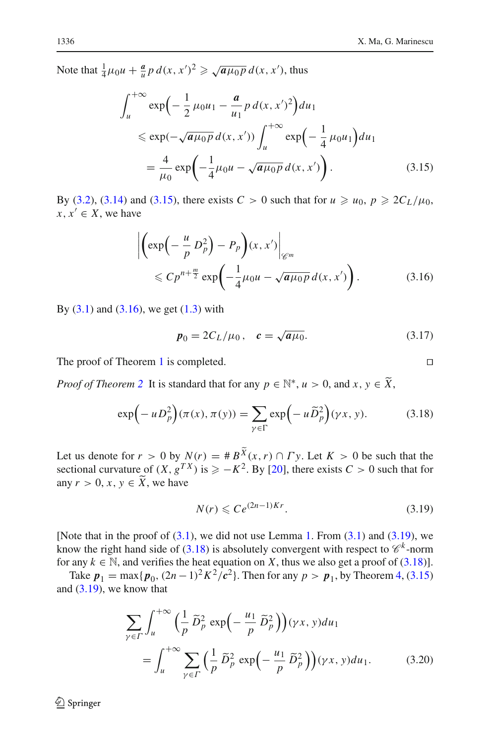<span id="page-9-1"></span>Note that  $\frac{1}{4}\mu_0 u + \frac{a}{u}p \, d(x, x')^2 \geqslant \sqrt{a\mu_0 p} \, d(x, x')$ , thus

$$
\int_{u}^{+\infty} \exp\left(-\frac{1}{2}\mu_{0}u_{1} - \frac{a}{u_{1}}p d(x, x')^{2}\right) du_{1}
$$
  
\$\leq \exp(-\sqrt{a\mu\_{0}p} d(x, x')) \int\_{u}^{+\infty} \exp\left(-\frac{1}{4}\mu\_{0}u\_{1}\right) du\_{1}\$  
=  $\frac{4}{\mu_{0}} \exp\left(-\frac{1}{4}\mu_{0}u - \sqrt{a\mu_{0}p} d(x, x')\right).$  (3.15)

<span id="page-9-2"></span>By [\(3.2\)](#page-7-2), [\(3.14\)](#page-8-5) and [\(3.15\)](#page-9-1), there exists  $C > 0$  such that for  $u \ge u_0$ ,  $p \ge 2C_L/\mu_0$ ,  $x, x' \in X$ , we have

$$
\left| \left( \exp\left( -\frac{u}{p} D_p^2 \right) - P_p \right) (x, x') \right|_{\mathscr{C}^m}
$$
  
\$\leqslant C p^{n + \frac{m}{2}} \exp\left( -\frac{1}{4} \mu\_0 u - \sqrt{a \mu\_0 p} d(x, x') \right).\$ (3.16)

<span id="page-9-0"></span>By  $(3.1)$  and  $(3.16)$ , we get  $(1.3)$  with

$$
p_0 = 2C_L/\mu_0, \quad c = \sqrt{a\mu_0}.
$$
 (3.17)

The proof of Theorem [1](#page-1-2) is completed.

<span id="page-9-4"></span>*Proof of Theorem* [2](#page-1-3) It is standard that for any  $p \in \mathbb{N}^*$ ,  $u > 0$ , and  $x, y \in \widetilde{X}$ ,

$$
\exp\left(-uD_p^2\right)(\pi(x), \pi(y)) = \sum_{\gamma \in \Gamma} \exp\left(-u\widetilde{D}_p^2\right)(\gamma x, y). \tag{3.18}
$$

Let us denote for  $r > 0$  by  $N(r) = #B^{\tilde{X}}(x, r) \cap \Gamma y$ . Let  $K > 0$  be such that the sectional curvature of  $(X, g^{TX})$  is  $\geq -K^2$ . By [\[20](#page-20-1)], there exists  $C > 0$  such that for any  $r > 0$ ,  $x, y \in \tilde{X}$ , we have

$$
N(r) \leqslant Ce^{(2n-1)Kr}.\tag{3.19}
$$

<span id="page-9-3"></span>[Note that in the proof of  $(3.1)$ , we did not use Lemma [1.](#page-3-1) From  $(3.1)$  and  $(3.19)$ , we know the right hand side of [\(3.18\)](#page-9-4) is absolutely convergent with respect to  $\mathcal{C}^k$ -norm for any  $k \in \mathbb{N}$ , and verifies the heat equation on *X*, thus we also get a proof of [\(3.18\)](#page-9-4)].

<span id="page-9-5"></span>Take  $p_1 = \max\{p_0, (2n-1)^2 K^2/c^2\}$ . Then for any  $p > p_1$ , by Theorem [4,](#page-6-3) [\(3.15\)](#page-9-1) and [\(3.19\)](#page-9-3), we know that

$$
\sum_{\gamma \in \Gamma} \int_{u}^{+\infty} \left(\frac{1}{p} \,\tilde{D}_{p}^{2} \, \exp\left(-\frac{u_{1}}{p} \,\tilde{D}_{p}^{2}\right)\right) (\gamma x, y) du_{1}
$$
\n
$$
= \int_{u}^{+\infty} \sum_{\gamma \in \Gamma} \left(\frac{1}{p} \,\tilde{D}_{p}^{2} \, \exp\left(-\frac{u_{1}}{p} \,\tilde{D}_{p}^{2}\right)\right) (\gamma x, y) du_{1}.\tag{3.20}
$$

 $\mathcal{L}$  Springer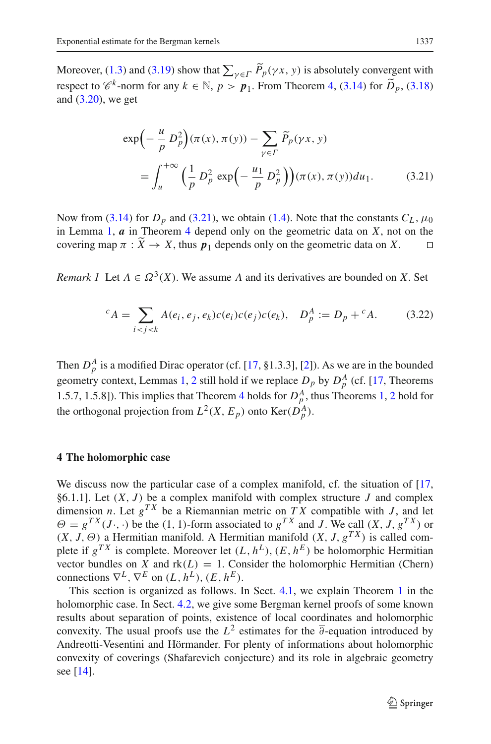<span id="page-10-2"></span>Moreover, [\(1.3\)](#page-1-1) and [\(3.19\)](#page-9-3) show that  $\sum_{\gamma \in \Gamma} P_p(\gamma x, y)$  is absolutely convergent with respect to  $\mathscr{C}^k$ -norm for any  $k \in \mathbb{N}$ ,  $p > p_1$ . From Theorem [4,](#page-6-3) [\(3.14\)](#page-8-5) for  $\tilde{D}_p$ , [\(3.18\)](#page-9-4) and  $(3.20)$ , we get

$$
\exp\left(-\frac{u}{p}D_p^2\right)(\pi(x), \pi(y)) - \sum_{\gamma \in \Gamma} \widetilde{P}_p(\gamma x, y)
$$

$$
= \int_u^{+\infty} \left(\frac{1}{p}D_p^2 \exp\left(-\frac{u_1}{p}D_p^2\right)\right)(\pi(x), \pi(y))du_1.
$$
(3.21)

Now from [\(3.14\)](#page-8-5) for  $D_p$  and [\(3.21\)](#page-10-2), we obtain [\(1.4\)](#page-2-0). Note that the constants  $C_L$ ,  $\mu_0$ in Lemma [1,](#page-3-1)  $\boldsymbol{a}$  in Theorem [4](#page-6-3) depend only on the geometric data on  $\boldsymbol{X}$ , not on the covering map  $\pi : \widetilde{X} \to X$ , thus  $p_1$  depends only on the geometric data on X.

<span id="page-10-0"></span>*Remark 1* Let  $A \in \Omega^3(X)$ . We assume *A* and its derivatives are bounded on *X*. Set

$$
{}^{c}A = \sum_{i < j < k} A(e_i, e_j, e_k) c(e_i) c(e_j) c(e_k), \quad D_p^A := D_p + {}^{c}A. \tag{3.22}
$$

Then  $D_p^A$  is a modified Dirac operator (cf. [\[17](#page-19-4), §1.3.3], [\[2](#page-19-11)]). As we are in the bounded geometry context, Lemmas [1,](#page-3-1) [2](#page-4-0) still hold if we replace  $D_p$  by  $D_p^A$  (cf. [\[17](#page-19-4), Theorems 1.5.7, 1.5.8]). This implies that Theorem [4](#page-6-3) holds for  $D_p^A$ , thus Theorems [1,](#page-1-2) [2](#page-1-3) hold for the orthogonal projection from  $L^2(X, E_p)$  onto  $\text{Ker}(D_p^A)$ .

#### <span id="page-10-1"></span>**4 The holomorphic case**

We discuss now the particular case of a complex manifold, cf. the situation of [\[17,](#page-19-4) §6.1.1]. Let  $(X, J)$  be a complex manifold with complex structure  $J$  and complex dimension *n*. Let  $g^{TX}$  be a Riemannian metric on *TX* compatible with *J*, and let  $\Theta = g^{TX}(J \cdot, \cdot)$  be the (1, 1)-form associated to  $g^{TX}$  and *J*. We call  $(X, J, g^{TX})$  or  $(X, J, \Theta)$  a Hermitian manifold. A Hermitian manifold  $(X, J, g^{TX})$  is called complete if  $g^{TX}$  is complete. Moreover let  $(L, h^L)$ ,  $(E, h^E)$  be holomorphic Hermitian vector bundles on *X* and  $rk(L) = 1$ . Consider the holomorphic Hermitian (Chern) connections  $\nabla^L$ ,  $\nabla^E$  on  $(L, h^L)$ ,  $(E, h^E)$ .

This section is organized as follows. In Sect. [4.1,](#page-11-2) we explain Theorem [1](#page-1-2) in the holomorphic case. In Sect. [4.2,](#page-11-3) we give some Bergman kernel proofs of some known results about separation of points, existence of local coordinates and holomorphic convexity. The usual proofs use the  $L^2$  estimates for the  $\overline{\partial}$ -equation introduced by Andreotti-Vesentini and Hörmander. For plenty of informations about holomorphic convexity of coverings (Shafarevich conjecture) and its role in algebraic geometry see [\[14](#page-19-12)].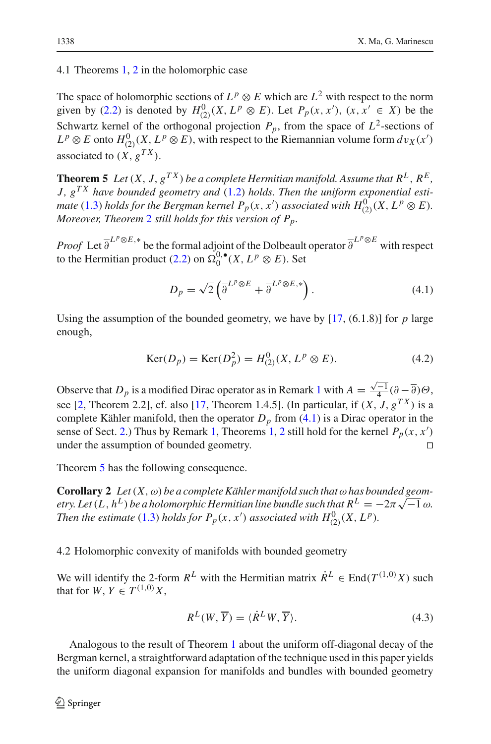<span id="page-11-2"></span>4.1 Theorems [1,](#page-1-2) [2](#page-1-3) in the holomorphic case

The space of holomorphic sections of  $L^p \otimes E$  which are  $L^2$  with respect to the norm given by [\(2.2\)](#page-3-2) is denoted by  $H_{(2)}^0(X, L^p \otimes E)$ . Let  $P_p(x, x')$ ,  $(x, x' \in X)$  be the Schwartz kernel of the orthogonal projection  $P_p$ , from the space of  $L^2$ -sections of  $L^p \otimes E$  onto  $H^0_{(2)}(X, L^p \otimes E)$ , with respect to the Riemannian volume form  $dv_X(x')$ associated to  $(X, g^{TX})$ .

<span id="page-11-0"></span>**Theorem 5** *Let*  $(X, J, g^{TX})$  *be a complete Hermitian manifold. Assume that*  $R^L, R^E$ , *J, gT X have bounded geometry and* [\(1.2\)](#page-1-0) *holds. Then the uniform exponential estimate* [\(1.3\)](#page-1-1) *holds for the Bergman kernel*  $P_p(x, x')$  *associated with*  $H^0_{(2)}(X, L^p \otimes E)$ *. Moreover, Theorem* [2](#page-1-3) *still holds for this version of Pp.*

*Proof* Let  $\overline{\partial}^{L^p \otimes E}$  be the formal adjoint of the Dolbeault operator  $\overline{\partial}^{L^p \otimes E}$  with respect to the Hermitian product [\(2.2\)](#page-3-2) on  $\Omega_0^{0,\bullet}(X, L^p \otimes E)$ . Set

$$
D_p = \sqrt{2} \left( \overline{\partial}^{L^p \otimes E} + \overline{\partial}^{L^p \otimes E,*} \right). \tag{4.1}
$$

<span id="page-11-1"></span>Using the assumption of the bounded geometry, we have by  $[17, (6.1.8)]$  $[17, (6.1.8)]$  for *p* large enough,

$$
Ker(D_p) = Ker(D_p^2) = H_{(2)}^0(X, L^p \otimes E). \tag{4.2}
$$

Observe that  $D_p$  is a modified Dirac operator as in Remark [1](#page-10-0) with  $A = \frac{\sqrt{-1}}{4} (\partial - \overline{\partial}) \Theta$ , see [\[2,](#page-19-11) Theorem 2.2], cf. also [\[17,](#page-19-4) Theorem 1.4.5]. (In particular, if  $(X, J, g^{TX})$  is a complete Kähler manifold, then the operator  $D_p$  from  $(4.1)$  is a Dirac operator in the sense of Sect. [2.](#page-3-0)) Thus by Remark [1,](#page-10-0) Theorems [1,](#page-1-2) [2](#page-1-3) still hold for the kernel *Pp*(*x*, *x* ) under the assumption of bounded geometry.

Theorem [5](#page-11-0) has the following consequence.

**Corollary 2** *Let*  $(X, \omega)$  *be a complete Kähler manifold such that*  $\omega$  *has bounded geometry.* Let  $(L, h^L)$  *be a holomorphic Hermitian line bundle such that*  $R^L = -2\pi \sqrt{-1} \omega$ . *Then the estimate* [\(1.3\)](#page-1-1) *holds for*  $P_p(x, x')$  *associated with*  $H_{(2)}^0(X, L^p)$ *.* 

<span id="page-11-3"></span>4.2 Holomorphic convexity of manifolds with bounded geometry

We will identify the 2-form  $R^L$  with the Hermitian matrix  $\dot{R}^L \in \text{End}(T^{(1,0)}X)$  such that for  $W, Y \in T^{(1,0)}X$ ,

$$
R^{L}(W,\overline{Y}) = \langle \dot{R}^{L}W,\overline{Y} \rangle. \tag{4.3}
$$

Analogous to the result of Theorem [1](#page-1-2) about the uniform off-diagonal decay of the Bergman kernel, a straightforward adaptation of the technique used in this paper yields the uniform diagonal expansion for manifolds and bundles with bounded geometry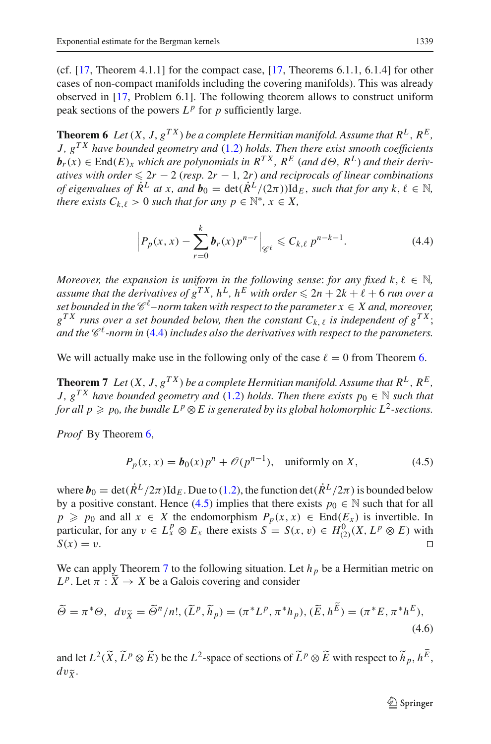(cf.  $[17,$  Theorem 4.1.1] for the compact case,  $[17,$  $[17,$  Theorems 6.1.1, 6.1.4] for other cases of non-compact manifolds including the covering manifolds). This was already observed in [\[17](#page-19-4), Problem 6.1]. The following theorem allows to construct uniform peak sections of the powers  $L^p$  for *p* sufficiently large.

<span id="page-12-1"></span>**Theorem 6** *Let*  $(X, J, g^{TX})$  *be a complete Hermitian manifold. Assume that*  $R^L, R^E$ , *J, gT X have bounded geometry and* [\(1.2\)](#page-1-0) *holds. Then there exist smooth coefficients*  $\mathbf{b}_r(x) \in \text{End}(E)_x$  *which are polynomials in*  $R^{TX}$ ,  $R^E$  (*and d* $\Theta$ ,  $R^L$ ) *and their derivatives with order*  $\leq 2r - 2$  (*resp.*  $2r - 1$ ,  $2r$ ) *and reciprocals of linear combinations of eigenvalues of*  $\dot{R}^L$  *at x, and*  $\mathbf{b}_0 = \det(\dot{R}^L/(2\pi)) \mathrm{Id}_E$ *, such that for any*  $k, \ell \in \mathbb{N}$ *, there exists*  $C_{k,\ell} > 0$  *such that for any*  $p \in \mathbb{N}^*, x \in X$ ,

$$
\left| P_p(x, x) - \sum_{r=0}^{k} b_r(x) p^{n-r} \right|_{\mathscr{C}^\ell} \leq C_{k, \ell} p^{n-k-1}.
$$
 (4.4)

<span id="page-12-0"></span>*Moreover, the expansion is uniform in the following sense: for any fixed k,*  $\ell \in \mathbb{N}$ *, assume that the derivatives of*  $g^{TX}$ ,  $h^L$ ,  $h^E$  *with order*  $\leq 2n + 2k + \ell + 6$  *run over a set bounded in the*  $\mathscr{C}^{\ell}$ -norm taken with respect to the parameter  $x \in X$  and, moreover,  $g^{TX}$  *runs over a set bounded below, then the constant*  $C_{k,\ell}$  *is independent of*  $g^{TX}$ ; and the  $\mathscr{C}^{\ell}$ -norm in [\(4.4\)](#page-12-0) *includes also the derivatives with respect to the parameters.* 

<span id="page-12-3"></span>We will actually make use in the following only of the case  $\ell = 0$  from Theorem [6.](#page-12-1)

**Theorem 7** *Let*  $(X, J, g^{TX})$  *be a complete Hermitian manifold. Assume that*  $R^L, R^E$ , *J,*  $g^{TX}$  *have bounded geometry and* [\(1.2\)](#page-1-0) *holds. Then there exists*  $p_0 \in \mathbb{N}$  *such that for all*  $p \geqslant p_0$ *, the bundle*  $L^p \otimes E$  *is generated by its global holomorphic*  $L^2$ *-sections.* 

*Proof* By Theorem [6,](#page-12-1)

$$
P_p(x, x) = b_0(x)p^n + \mathcal{O}(p^{n-1}), \text{ uniformly on } X,
$$
\n(4.5)

<span id="page-12-2"></span>where  $b_0 = \det(\dot{R}^L/2\pi) \mathrm{Id}_E$ . Due to [\(1.2\)](#page-1-0), the function  $\det(\dot{R}^L/2\pi)$  is bounded below by a positive constant. Hence [\(4.5\)](#page-12-2) implies that there exists  $p_0 \in \mathbb{N}$  such that for all  $p \geq p_0$  and all  $x \in X$  the endomorphism  $P_p(x, x) \in \text{End}(E_x)$  is invertible. In particular, for any  $v \in L_x^p \otimes E_x$  there exists  $S = S(x, v) \in H_{(2)}^0(X, L^p \otimes E)$  with  $S(x) = v.$ 

We can apply Theorem [7](#page-12-3) to the following situation. Let  $h<sub>p</sub>$  be a Hermitian metric on  $L^p$ . Let  $\pi : \widetilde{X} \to X$  be a Galois covering and consider

$$
\widetilde{\Theta} = \pi^* \Theta, \ dv_{\widetilde{X}} = \widetilde{\Theta}^n / n!, \ (\widetilde{L}^p, \widetilde{h}_p) = (\pi^* L^p, \pi^* h_p), \ (\widetilde{E}, h^{\widetilde{E}}) = (\pi^* E, \pi^* h^E), \tag{4.6}
$$

<span id="page-12-4"></span>and let  $L^2(\widetilde{X}, \widetilde{L}^p \otimes \widetilde{E})$  be the  $L^2$ -space of sections of  $\widetilde{L}^p \otimes \widetilde{E}$  with respect to  $\widetilde{h}_p, h^E$ ,  $dv_{\tilde{Y}}$ .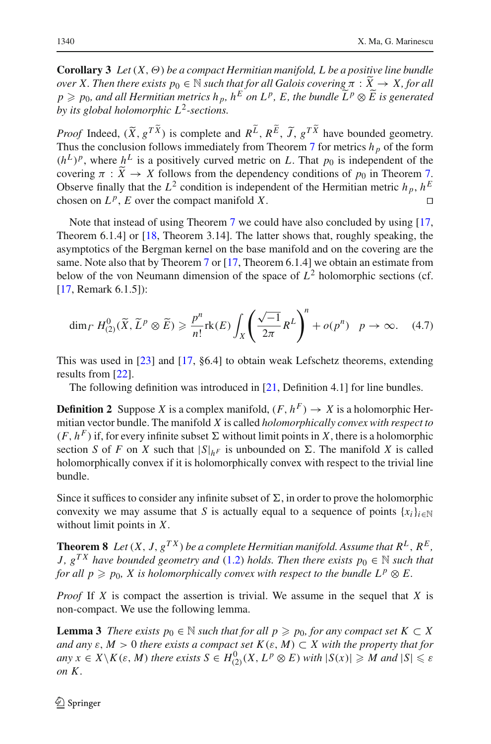**Corollary 3** *Let*(*X*,Θ) *be a compact Hermitian manifold, L be a positive line bundle over X. Then there exists*  $p_0 \in \mathbb{N}$  *such that for all Galois covering*  $\pi : \tilde{X} \to X$ *, for all*  $p \geqslant p_0$ , and all Hermitian metrics  $h_p$ ,  $h^E$  on  $L^p$ ,  $E$ , the bundle  $\tilde{L}^p \otimes \tilde{E}$  is generated<br>by its alakel halomombia  $L^2$  sastinus *by its global holomorphic L*2*-sections.*

*Proof* Indeed,  $(\tilde{X}, g^{TX})$  is complete and  $R^L$ ,  $R^E$ ,  $\tilde{J}$ ,  $g^{TX}$  have bounded geometry. Thus the conclusion follows immediately from Theorem [7](#page-12-3) for metrics  $h_p$  of the form  $(h^L)^p$ , where  $h^L$  is a positively curved metric on *L*. That  $p_0$  is independent of the covering  $\pi : \widetilde{X} \to X$  follows from the dependency conditions of  $p_0$  in Theorem [7.](#page-12-3) Observe finally that the  $L^2$  condition is independent of the Hermitian metric  $h_p$ ,  $h^E$ chosen on  $L^p$ , *E* over the compact manifold *X*.

Note that instead of using Theorem [7](#page-12-3) we could have also concluded by using [\[17,](#page-19-4) Theorem 6.1.4] or [\[18](#page-19-13), Theorem 3.14]. The latter shows that, roughly speaking, the asymptotics of the Bergman kernel on the base manifold and on the covering are the same. Note also that by Theorem [7](#page-12-3) or [\[17](#page-19-4), Theorem 6.1.4] we obtain an estimate from below of the von Neumann dimension of the space of  $L^2$  holomorphic sections (cf. [\[17](#page-19-4), Remark 6.1.5]):

$$
\dim_{\varGamma} H_{(2)}^0(\widetilde{X}, \widetilde{L}^p \otimes \widetilde{E}) \geqslant \frac{p^n}{n!} \text{rk}(E) \int_X \left( \frac{\sqrt{-1}}{2\pi} R^L \right)^n + o(p^n) \quad p \to \infty. \tag{4.7}
$$

This was used in [\[23](#page-20-2)] and [\[17,](#page-19-4) §6.4] to obtain weak Lefschetz theorems, extending results from [\[22](#page-20-3)].

The following definition was introduced in [\[21](#page-20-4), Definition 4.1] for line bundles.

**Definition 2** Suppose *X* is a complex manifold,  $(F, h^F) \rightarrow X$  is a holomorphic Hermitian vector bundle. The manifold *X* is called *holomorphically convex with respect to*  $(F, h^F)$  if, for every infinite subset  $\Sigma$  without limit points in *X*, there is a holomorphic section *S* of *F* on *X* such that  $|S|_{hF}$  is unbounded on  $\Sigma$ . The manifold *X* is called holomorphically convex if it is holomorphically convex with respect to the trivial line bundle.

Since it suffices to consider any infinite subset of  $\Sigma$ , in order to prove the holomorphic convexity we may assume that *S* is actually equal to a sequence of points  $\{x_i\}_{i\in\mathbb{N}}$ without limit points in *X*.

<span id="page-13-1"></span>**Theorem 8** *Let*  $(X, J, g^{TX})$  *be a complete Hermitian manifold. Assume that*  $R^L, R^E$ , *J*,  $g^{TX}$  *have bounded geometry and* [\(1.2\)](#page-1-0) *holds. Then there exists*  $p_0 \in \mathbb{N}$  *such that for all*  $p \geq p_0$ *, X is holomorphically convex with respect to the bundle*  $L^p \otimes E$ *.* 

*Proof* If *X* is compact the assertion is trivial. We assume in the sequel that *X* is non-compact. We use the following lemma.

<span id="page-13-0"></span>**Lemma 3** *There exists*  $p_0 \in \mathbb{N}$  *such that for all*  $p \geq p_0$ *, for any compact set*  $K \subset X$ *and any*  $\varepsilon$ ,  $M > 0$  *there exists a compact set*  $K(\varepsilon, M) \subset X$  *with the property that for*  $a_n y x \in X \setminus K(\varepsilon, M)$  *there exists*  $S \in H^0_{(2)}(X, L^p \otimes E)$  *with*  $|S(x)| \geq M$  *and*  $|S| \leq \varepsilon$ *on K .*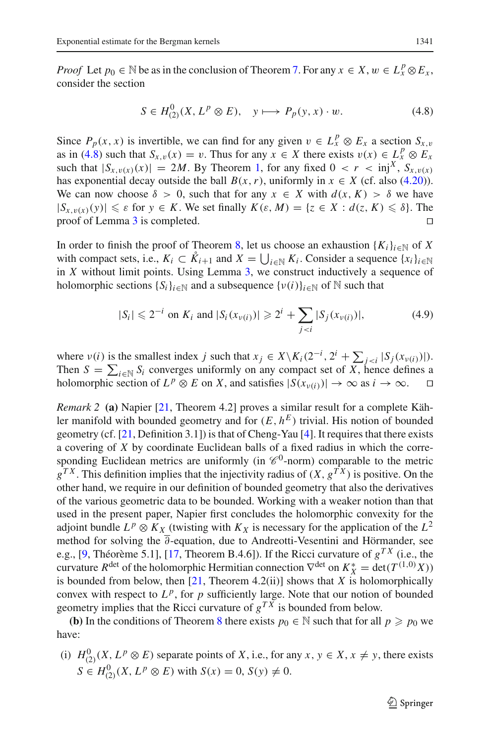*Proof* Let  $p_0 \in \mathbb{N}$  be as in the conclusion of Theorem [7.](#page-12-3) For any  $x \in X$ ,  $w \in L_x^p \otimes E_x$ , consider the section

$$
S \in H_{(2)}^{0}(X, L^{p} \otimes E), \quad y \longmapsto P_{p}(y, x) \cdot w. \tag{4.8}
$$

<span id="page-14-0"></span>Since  $P_p(x, x)$  is invertible, we can find for any given  $v \in L_x^p \otimes E_x$  a section  $S_{x,y}$ as in [\(4.8\)](#page-14-0) such that  $S_{x,v}(x) = v$ . Thus for any  $x \in X$  there exists  $v(x) \in L_x^p \otimes E_x$ such that  $|S_{x,v(x)}(x)| = 2M$ . By Theorem [1,](#page-1-2) for any fixed  $0 < r < \text{inj}^X$ ,  $S_{x,v(x)}$ has exponential decay outside the ball  $B(x, r)$ , uniformly in  $x \in X$  (cf. also [\(4.20\)](#page-17-1)). We can now choose  $\delta > 0$ , such that for any  $x \in X$  with  $d(x, K) > \delta$  we have  $|S_{x,v(x)}(y)| \le \varepsilon$  for  $y \in K$ . We set finally  $K(\varepsilon, M) = \{z \in X : d(z, K) \le \delta\}$ . The proof of Lemma 3 is completed proof of Lemma [3](#page-13-0) is completed.

In order to finish the proof of Theorem [8,](#page-13-1) let us choose an exhaustion  $\{K_i\}_{i\in\mathbb{N}}$  of X with compact sets, i.e.,  $K_i \subset \mathring{K}_{i+1}$  and  $X = \bigcup_{i \in \mathbb{N}} K_i$ . Consider a sequence  $\{x_i\}_{i \in \mathbb{N}}$ in *X* without limit points. Using Lemma [3,](#page-13-0) we construct inductively a sequence of holomorphic sections  $\{S_i\}_{i \in \mathbb{N}}$  and a subsequence  $\{v(i)\}_{i \in \mathbb{N}}$  of  $\mathbb N$  such that

$$
|S_i| \leq 2^{-i} \text{ on } K_i \text{ and } |S_i(x_{\nu(i)})| \geq 2^i + \sum_{j < i} |S_j(x_{\nu(i)})|,\tag{4.9}
$$

where  $v(i)$  is the smallest index *j* such that  $x_j \in X \setminus K_i(2^{-i}, 2^i + \sum_{j < i} |S_j(x_{v(i)})|).$ Then  $S = \sum_{i \in \mathbb{N}} S_i$  converges uniformly on any compact set of *X*, hence defines a holomorphic section of  $L^p \otimes E$  on *X*, and satisfies  $|S(x_{\nu(i)})| \to \infty$  as  $i \to \infty$ .  $\square$ 

*Remark 2* **(a)** Napier [\[21,](#page-20-4) Theorem 4.2] proves a similar result for a complete Kähler manifold with bounded geometry and for  $(E, h^E)$  trivial. His notion of bounded geometry (cf. [\[21,](#page-20-4) Definition 3.1]) is that of Cheng-Yau [\[4](#page-19-14)]. It requires that there exists a covering of *X* by coordinate Euclidean balls of a fixed radius in which the corresponding Euclidean metrics are uniformly (in  $\mathcal{C}^0$ -norm) comparable to the metric  $g^{TX}$ . This definition implies that the injectivity radius of  $(X, g^{TX})$  is positive. On the other hand, we require in our definition of bounded geometry that also the derivatives of the various geometric data to be bounded. Working with a weaker notion than that used in the present paper, Napier first concludes the holomorphic convexity for the adjoint bundle  $L^p \otimes K_X$  (twisting with  $K_X$  is necessary for the application of the  $L^2$ method for solving the ∂-equation, due to Andreotti-Vesentini and Hörmander, see e.g., [\[9](#page-19-15), Théorème 5.1], [\[17](#page-19-4), Theorem B.4.6]). If the Ricci curvature of  $g^{TX}$  (i.e., the curvature  $R^{\text{det}}$  of the holomorphic Hermitian connection  $\nabla^{\text{det}}$  on  $K_X^* = \text{det}(T^{(1,0)}X)$ is bounded from below, then  $[21,$  Theorem 4.2(ii)] shows that *X* is holomorphically convex with respect to  $L^p$ , for  $p$  sufficiently large. Note that our notion of bounded geometry implies that the Ricci curvature of  $g^{TX}$  is bounded from below.

**(b)** In the conditions of Theorem [8](#page-13-1) there exists  $p_0 \in \mathbb{N}$  such that for all  $p \geq p_0$  we have:

(i)  $H_{(2)}^0(X, L^p \otimes E)$  separate points of *X*, i.e., for any *x*,  $y \in X$ ,  $x \neq y$ , there exists  $S \in H_{(2)}^{0}(X, L^{p} \otimes E)$  with  $S(x) = 0, S(y) \neq 0$ .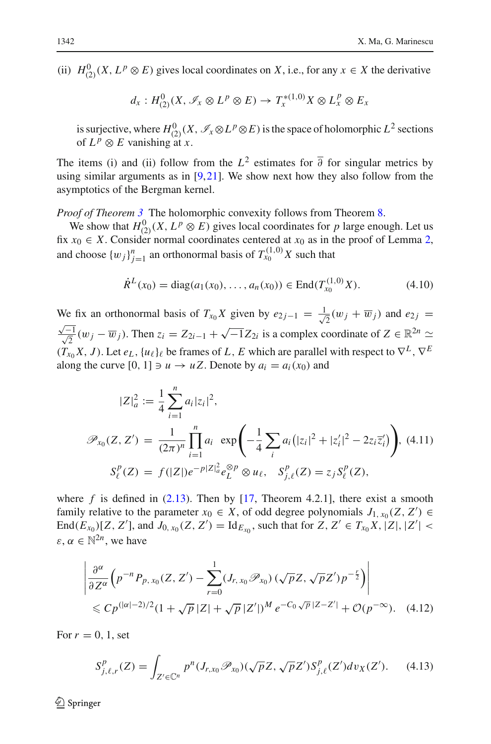(ii)  $H^0_{(2)}(X, L^p \otimes E)$  gives local coordinates on *X*, i.e., for any  $x \in X$  the derivative

$$
d_x: H^0_{(2)}(X, \mathscr{I}_x \otimes L^p \otimes E) \to T_x^{*(1,0)}X \otimes L_x^p \otimes E_x
$$

is surjective, where  $H^0_{(2)}(X, \mathscr{I}_x \otimes L^p \otimes E)$  is the space of holomorphic  $L^2$  sections of  $L^p \otimes E$  vanishing at *x*.

The items (i) and (ii) follow from the  $L^2$  estimates for  $\overline{\partial}$  for singular metrics by using similar arguments as in  $[9,21]$  $[9,21]$  $[9,21]$ . We show next how they also follow from the asymptotics of the Bergman kernel.

*Proof of Theorem [3](#page-2-1)* The holomorphic convexity follows from Theorem [8.](#page-13-1)

We show that  $H^0_{(2)}(X, L^p \otimes E)$  gives local coordinates for *p* large enough. Let us fix  $x_0 \in X$ . Consider normal coordinates centered at  $x_0$  as in the proof of Lemma [2,](#page-4-0) and choose  $\{w_j\}_{j=1}^n$  an orthonormal basis of  $T_{x_0}^{(1,0)}X$  such that

$$
\dot{R}^{L}(x_0) = \text{diag}(a_1(x_0), \dots, a_n(x_0)) \in \text{End}(T_{x_0}^{(1,0)}X). \tag{4.10}
$$

We fix an orthonormal basis of  $T_{x_0}X$  given by  $e_{2j-1} = \frac{1}{\sqrt{2}}$ We fix an orthonormal basis of  $T_{x_0}X$  given by  $e_{2j-1} = \frac{1}{\sqrt{2}}(w_j + \overline{w}_j)$  and  $e_{2j} = \frac{\sqrt{-1}}{2}(w_j - \overline{w}_j)$ . Then  $z_i = Z_{2i-1} + \sqrt{-1}Z_{2i}$  is a complex coordinate of  $Z \in \mathbb{R}^{2n} \simeq$  $\frac{\sqrt{-1}}{\sqrt{2}}$  (w<sub>j</sub> − w<sub>j</sub>). Then  $z_i = Z_{2i-1} + \sqrt{-1}Z_{2i}$  is a complex coordinate of  $Z \in \mathbb{R}^{2n}$   $\simeq$  $(T_{x_0}X, J)$ . Let  $e_L$ ,  $\{u_\ell\}_\ell$  be frames of *L*, *E* which are parallel with respect to  $\nabla^L$ ,  $\nabla^E$ along the curve  $[0, 1] \ni u \rightarrow uZ$ . Denote by  $a_i = a_i(x_0)$  and

<span id="page-15-0"></span>
$$
|Z|_a^2 := \frac{1}{4} \sum_{i=1}^n a_i |z_i|^2,
$$
  

$$
\mathcal{P}_{x_0}(Z, Z') = \frac{1}{(2\pi)^n} \prod_{i=1}^n a_i \exp\left(-\frac{1}{4} \sum_i a_i (|z_i|^2 + |z'_i|^2 - 2z_i \overline{z'_i})\right), \quad (4.11)
$$
  

$$
S_\ell^p(Z) = f(|Z|) e^{-p|Z|_a^2} e_L^{\otimes p} \otimes u_\ell, \quad S_{j,\ell}^p(Z) = z_j S_\ell^p(Z),
$$

where  $f$  is defined in  $(2.13)$ . Then by  $[17,$  Theorem 4.2.1], there exist a smooth family relative to the parameter  $x_0 \in X$ , of odd degree polynomials  $J_{1, x_0}(Z, Z') \in$  $\text{End}(E_{x_0})[Z, Z'],$  and  $J_{0, x_0}(Z, Z') = \text{Id}_{E_{x_0}}$ , such that for  $Z, Z' \in T_{x_0}X, |Z|, |Z'| <$  $\varepsilon, \alpha \in \mathbb{N}^{2n}$ , we have

$$
\left| \frac{\partial^{\alpha}}{\partial Z^{\alpha}} \Big( p^{-n} P_{p, x_0}(Z, Z') - \sum_{r=0}^{1} (J_{r, x_0} \mathscr{P}_{x_0}) \left( \sqrt{p} Z, \sqrt{p} Z' \right) p^{-\frac{r}{2}} \Big) \right|
$$
  
\$\leqslant C p^{(|\alpha|-2)/2} (1 + \sqrt{p} |Z| + \sqrt{p} |Z'|)^M e^{-C\_0 \sqrt{p} |Z - Z'|} + \mathcal{O}(p^{-\infty}). \quad (4.12)\$

<span id="page-15-2"></span><span id="page-15-1"></span>For  $r = 0, 1$ , set

$$
S_{j,\ell,r}^p(Z) = \int_{Z' \in \mathbb{C}^n} p^n(J_{r,x_0} \mathcal{P}_{x_0})(\sqrt{p}Z, \sqrt{p}Z') S_{j,\ell}^p(Z') dv_X(Z'). \tag{4.13}
$$

 $\mathcal{L}$  Springer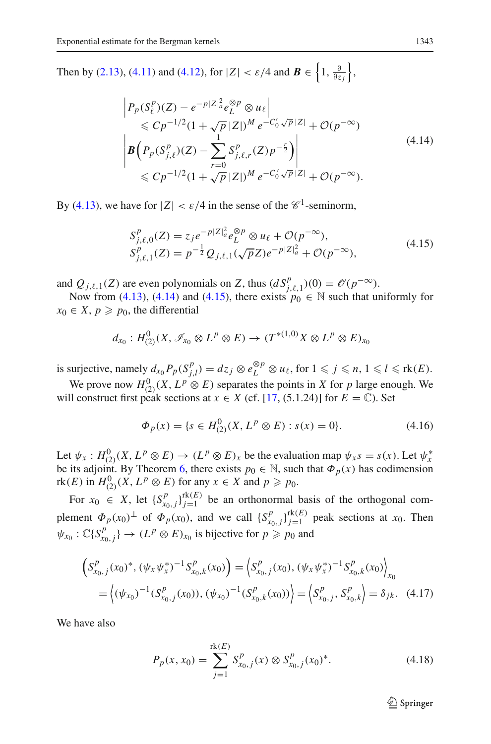Then by [\(2.13\)](#page-5-6), [\(4.11\)](#page-15-0) and [\(4.12\)](#page-15-1), for  $|Z| < \varepsilon/4$  and  $\mathbf{B} \in \left\{1, \frac{\partial}{\partial z_j}\right\}$ ,

$$
\left| P_p(S_\ell^p)(Z) - e^{-p|Z|_a^2} e_L^{\otimes p} \otimes u_\ell \right|
$$
  
\n
$$
\leq C p^{-1/2} (1 + \sqrt{p} |Z|)^M e^{-C'_0 \sqrt{p} |Z|} + \mathcal{O}(p^{-\infty})
$$
  
\n
$$
\left| B \left( P_p(S_{j,\ell}^p)(Z) - \sum_{r=0}^1 S_{j,\ell,r}^p(Z) p^{-\frac{r}{2}} \right) \right|
$$
  
\n
$$
\leq C p^{-1/2} (1 + \sqrt{p} |Z|)^M e^{-C'_0 \sqrt{p} |Z|} + \mathcal{O}(p^{-\infty}).
$$
\n(4.14)

<span id="page-16-1"></span><span id="page-16-0"></span>By [\(4.13\)](#page-15-2), we have for  $|Z| < \varepsilon/4$  in the sense of the  $\mathscr{C}^1$ -seminorm,

$$
S_{j,\ell,0}^p(Z) = z_j e^{-p|Z|_a^2} e_L^{\otimes p} \otimes u_\ell + \mathcal{O}(p^{-\infty}),
$$
  
\n
$$
S_{j,\ell,1}^p(Z) = p^{-\frac{1}{2}} Q_{j,\ell,1}(\sqrt{p}Z) e^{-p|Z|_a^2} + \mathcal{O}(p^{-\infty}),
$$
\n(4.15)

and  $Q_{j,\ell,1}(Z)$  are even polynomials on *Z*, thus  $(dS_{j,\ell,1}^p)(0) = \mathcal{O}(p^{-\infty})$ .

Now from [\(4.13\)](#page-15-2), [\(4.14\)](#page-16-0) and [\(4.15\)](#page-16-1), there exists  $p_0 \in \mathbb{N}$  such that uniformly for  $x_0 \in X$ ,  $p \ge p_0$ , the differential

$$
d_{x_0}: H^0_{(2)}(X, \mathscr{I}_{x_0} \otimes L^p \otimes E) \to (T^{*(1,0)}X \otimes L^p \otimes E)_{x_0}
$$

is surjective, namely  $d_{x_0} P_p(S_{j,l}^p) = dz_j \otimes e_L^{\otimes p} \otimes u_{\ell}$ , for  $1 \leqslant j \leqslant n, 1 \leqslant l \leqslant \text{rk}(E)$ .

We prove now  $H^0_{(2)}(X, L^p \otimes E)$  separates the points in *X* for *p* large enough. We will construct first peak sections at  $x \in X$  (cf. [\[17](#page-19-4), (5.1.24)] for  $E = \mathbb{C}$ ). Set

$$
\Phi_p(x) = \{ s \in H^0_{(2)}(X, L^p \otimes E) : s(x) = 0 \}.
$$
\n(4.16)

Let  $\psi_x : H^0_{(2)}(X, L^p \otimes E) \to (L^p \otimes E)_x$  be the evaluation map  $\psi_x s = s(x)$ . Let  $\psi_x^*$ be its adjoint. By Theorem [6,](#page-12-1) there exists  $p_0 \in \mathbb{N}$ , such that  $\Phi_p(x)$  has codimension  $rk(E)$  in  $H_{(2)}^0(X, L^p \otimes E)$  for any  $x \in X$  and  $p \geq p_0$ .

For  $x_0 \in X$ , let  $\{S_{x_0,j}^p\}_{j=1}^{rk(E)}$  be an orthonormal basis of the orthogonal complement  $\Phi_p(x_0)^\perp$  of  $\Phi_p(x_0)$ , and we call  $\{S_{x_0,j}^p\}_{j=1}^{\text{rk}(E)}$  peak sections at  $x_0$ . Then  $\psi_{x_0}: \mathbb{C}\{S_{x_0,j}^p\} \to (L^p \otimes E)_{x_0}$  is bijective for  $p \geq p_0$  and

$$
\begin{aligned} \left(S_{x_0,j}^p(x_0)^*, \left(\psi_x \psi_x^*\right)^{-1} S_{x_0,k}^p(x_0)\right) &= \left\langle S_{x_0,j}^p(x_0), \left(\psi_x \psi_x^*\right)^{-1} S_{x_0,k}^p(x_0)\right\rangle_{x_0} \\ &= \left\langle \left(\psi_{x_0}\right)^{-1} (S_{x_0,j}^p(x_0)), \left(\psi_{x_0}\right)^{-1} (S_{x_0,k}^p(x_0)) \right\rangle = \left\langle S_{x_0,j}^p, S_{x_0,k}^p \right\rangle = \delta_{jk}. \end{aligned} \tag{4.17}
$$

<span id="page-16-3"></span><span id="page-16-2"></span>We have also

$$
P_p(x, x_0) = \sum_{j=1}^{\text{rk}(E)} S_{x_0, j}^p(x) \otimes S_{x_0, j}^p(x_0)^*.
$$
 (4.18)

 $\mathcal{L}$  Springer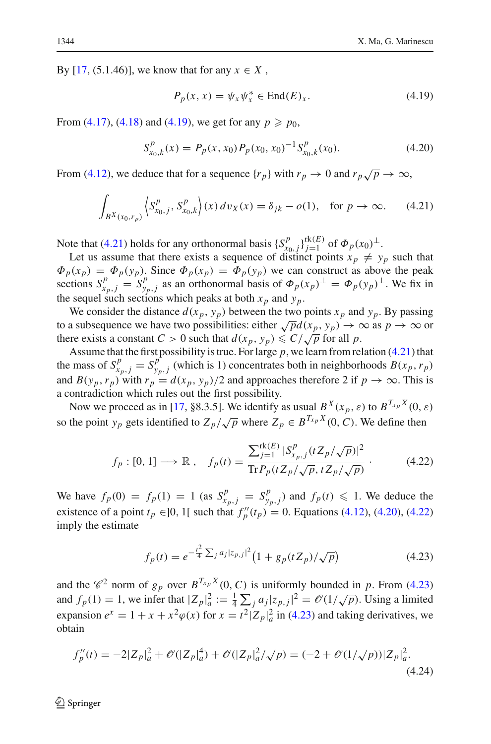<span id="page-17-2"></span>By [\[17](#page-19-4), (5.1.46)], we know that for any  $x \in X$ ,

$$
P_p(x, x) = \psi_x \psi_x^* \in \text{End}(E)_x. \tag{4.19}
$$

<span id="page-17-1"></span>From  $(4.17)$ ,  $(4.18)$  and  $(4.19)$ , we get for any  $p \ge p_0$ ,

$$
S_{x_0,k}^p(x) = P_p(x, x_0) P_p(x_0, x_0)^{-1} S_{x_0,k}^p(x_0).
$$
 (4.20)

<span id="page-17-0"></span>From [\(4.12\)](#page-15-1), we deduce that for a sequence  $\{r_p\}$  with  $r_p \to 0$  and  $r_p \sqrt{p} \to \infty$ ,

$$
\int_{B^{X}(x_0,r_p)} \left\langle S^{p}_{x_0,j}, S^{p}_{x_0,k} \right\rangle(x) \, dv_X(x) = \delta_{jk} - o(1), \quad \text{for } p \to \infty. \tag{4.21}
$$

Note that [\(4.21\)](#page-17-0) holds for any orthonormal basis  $\{S_{i_0,j}^p\}_{j=1}^{r_k(E)}$  of  $\Phi_p(x_0)^\perp$ .

Let us assume that there exists a sequence of distinct points  $x_p \neq y_p$  such that  $\Phi_p(x_p) = \Phi_p(y_p)$ . Since  $\Phi_p(x_p) = \Phi_p(y_p)$  we can construct as above the peak sections  $S_{x_p,j}^p = S_{y_p,j}^p$  as an orthonormal basis of  $\Phi_p(x_p)^\perp = \Phi_p(y_p)^\perp$ . We fix in the sequel such sections which peaks at both  $x_p$  and  $y_p$ .

We consider the distance  $d(x_p, y_p)$  between the two points  $x_p$  and  $y_p$ . By passing to a subsequence we have two possibilities: either  $\sqrt{p}d(x_p, y_p) \to \infty$  as  $p \to \infty$  or there exists a constant  $C > 0$  such that  $d(x_p, y_p) \leq C/\sqrt{p}$  for all p.

Assume that the first possibility is true. For large *p*, we learn from relation [\(4.21\)](#page-17-0) that the mass of  $S_{x_p,j}^p = S_{y_p,j}^p$  (which is 1) concentrates both in neighborhoods  $B(x_p, r_p)$ and  $B(y_p, r_p)$  with  $r_p = d(x_p, y_p)/2$  and approaches therefore 2 if  $p \to \infty$ . This is a contradiction which rules out the first possibility.

Now we proceed as in [\[17](#page-19-4), §8.3.5]. We identify as usual  $B^X(x_p, \varepsilon)$  to  $B^{T_{x_p}X}(0, \varepsilon)$ so the point *y<sub>p</sub>* gets identified to  $Z_p/\sqrt{p}$  where  $Z_p \in B^{T_{x_p}X}(0, C)$ . We define then

$$
f_p: [0, 1] \longrightarrow \mathbb{R}, \quad f_p(t) = \frac{\sum_{j=1}^{\text{rk}(E)} |S_{x_p, j}^p(t Z_p / \sqrt{p})|^2}{\text{Tr} P_p(t Z_p / \sqrt{p}, t Z_p / \sqrt{p})}.
$$
 (4.22)

<span id="page-17-3"></span>We have  $f_p(0) = f_p(1) = 1$  (as  $S_{x_p, j}^p = S_{y_p, j}^p$ ) and  $f_p(t) \le 1$ . We deduce the existence of a point *t<sub>p</sub>* ∈ ]0, 1[ such that  $f''_p(t_p) = 0$ . Equations [\(4.12\)](#page-15-1), [\(4.20\)](#page-17-1), [\(4.22\)](#page-17-3) imply the estimate

$$
f_p(t) = e^{-\frac{t^2}{4}\sum_j a_j |z_{p,j}|^2} \left(1 + g_p(t Z_p) / \sqrt{p}\right)
$$
 (4.23)

<span id="page-17-4"></span>and the  $\mathcal{C}^2$  norm of  $g_p$  over  $B^{T_{x_p}X}(0, C)$  is uniformly bounded in p. From [\(4.23\)](#page-17-4) and  $f_p(1) = 1$ , we infer that  $|Z_p|^2 = \frac{1}{4} \sum_j a_j |z_{p,j}|^2 = \mathcal{O}(1/\sqrt{p})$ . Using a limited expansion  $e^x = 1 + x + x^2 \varphi(x)$  for  $x = t^2 |Z_p|_a^2$  in [\(4.23\)](#page-17-4) and taking derivatives, we obtain

$$
f_p''(t) = -2|Z_p|_a^2 + \mathcal{O}(|Z_p|_a^4) + \mathcal{O}(|Z_p|_a^2/\sqrt{p}) = (-2 + \mathcal{O}(1/\sqrt{p}))|Z_p|_a^2.
$$
\n(4.24)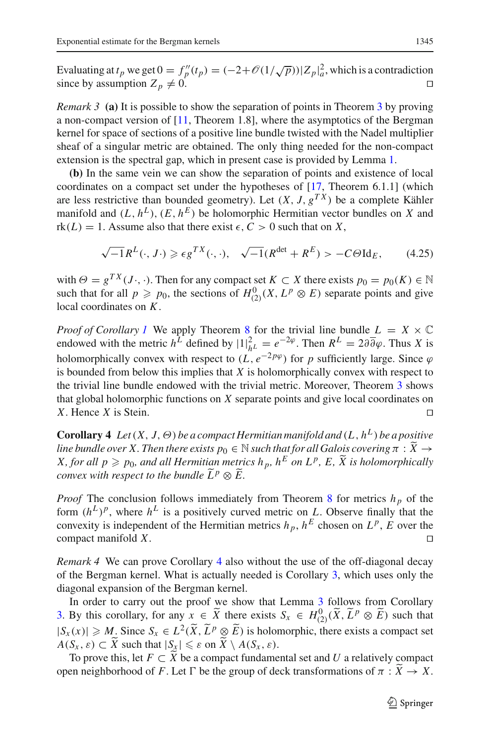Evaluating at  $t_p$  we get  $0 = f''_p(t_p) = (-2 + \mathcal{O}(1/\sqrt{p}))|Z_p|^2_a$ , which is a contradiction since by assumption  $Z_p \neq 0$ .

*Remark [3](#page-2-1)* (a) It is possible to show the separation of points in Theorem 3 by proving a non-compact version of  $[11,$  Theorem 1.8], where the asymptotics of the Bergman kernel for space of sections of a positive line bundle twisted with the Nadel multiplier sheaf of a singular metric are obtained. The only thing needed for the non-compact extension is the spectral gap, which in present case is provided by Lemma [1.](#page-3-1)

**(b)** In the same vein we can show the separation of points and existence of local coordinates on a compact set under the hypotheses of [\[17](#page-19-4), Theorem 6.1.1] (which are less restrictive than bounded geometry). Let  $(X, J, g^{TX})$  be a complete Kähler manifold and  $(L, h^L)$ ,  $(E, h^E)$  be holomorphic Hermitian vector bundles on *X* and  $rk(L) = 1$ . Assume also that there exist  $\epsilon$ ,  $C > 0$  such that on X,

$$
\sqrt{-1}R^{L}(\cdot, J\cdot) \geqslant \epsilon g^{TX}(\cdot, \cdot), \quad \sqrt{-1}(R^{\det} + R^{E}) > -C\Theta \text{Id}_{E}, \tag{4.25}
$$

with  $\Theta = g^{TX}(J \cdot, \cdot)$ . Then for any compact set  $K \subset X$  there exists  $p_0 = p_0(K) \in \mathbb{N}$ such that for all  $p \geq p_0$ , the sections of  $H^0_{(2)}(X, L^p \otimes E)$  separate points and give local coordinates on *K*.

*Proof of Corollary [1](#page-2-2)* We apply Theorem [8](#page-13-1) for the trivial line bundle  $L = X \times \mathbb{C}$ endowed with the metric  $h^L$  defined by  $|1|^2_{h^L} = e^{-2\phi}$ . Then  $R^L = 2\partial \overline{\partial} \varphi$ . Thus *X* is holomorphically convex with respect to  $(L, e^{-2p\varphi})$  for *p* sufficiently large. Since  $\varphi$ is bounded from below this implies that *X* is holomorphically convex with respect to the trivial line bundle endowed with the trivial metric. Moreover, Theorem [3](#page-2-1) shows that global holomorphic functions on *X* separate points and give local coordinates on *X*. Hence *X* is Stein.

<span id="page-18-0"></span>**Corollary 4** *Let*  $(X, J, \Theta)$  *be a compact Hermitian manifold and*  $(L, h^L)$  *be a positive line bundle over X. Then there exists*  $p_0 \in \mathbb{N}$  *such that for all Galois covering*  $\pi : \widetilde{X} \to$ *X, for all*  $p \geq p_0$ *, and all Hermitian metrics*  $h_p$ *,*  $h^E$  *on*  $L^p$ *,*  $E$ *,*  $\widetilde{X}$  *is holomorphically convex with respect to the bundle*  $\widetilde{L}^p \otimes \widetilde{E}$ .

*Proof* The conclusion follows immediately from Theorem [8](#page-13-1) for metrics  $h_p$  of the form  $(h^L)^p$ , where  $h^L$  is a positively curved metric on *L*. Observe finally that the convexity is independent of the Hermitian metrics  $h_p$ ,  $h^E$  chosen on  $L^p$ ,  $\overline{E}$  over the compact manifold *X*.

*Remark 4* We can prove Corollary [4](#page-18-0) also without the use of the off-diagonal decay of the Bergman kernel. What is actually needed is Corollary [3,](#page-12-4) which uses only the diagonal expansion of the Bergman kernel.

In order to carry out the proof we show that Lemma [3](#page-13-0) follows from Corollary [3.](#page-12-4) By this corollary, for any  $x \in \widetilde{X}$  there exists  $S_x \in H^0_{(2)}(\widetilde{X}, \widetilde{L}^p \otimes \widetilde{E})$  such that  $|S_x(x)| \ge M$ . Since  $S_x \in L^2(\tilde{X}, \tilde{L}^p \otimes \tilde{E})$  is holomorphic, there exists a compact set  $A(S_x, \varepsilon) \subset \widetilde{X}$  such that  $|S_x| \leq \varepsilon$  on  $\widetilde{X} \setminus A(S_x, \varepsilon)$ .

To prove this, let  $F \subset X$  be a compact fundamental set and U a relatively compact open neighborhood of *F*. Let  $\Gamma$  be the group of deck transformations of  $\pi : \tilde{X} \to X$ .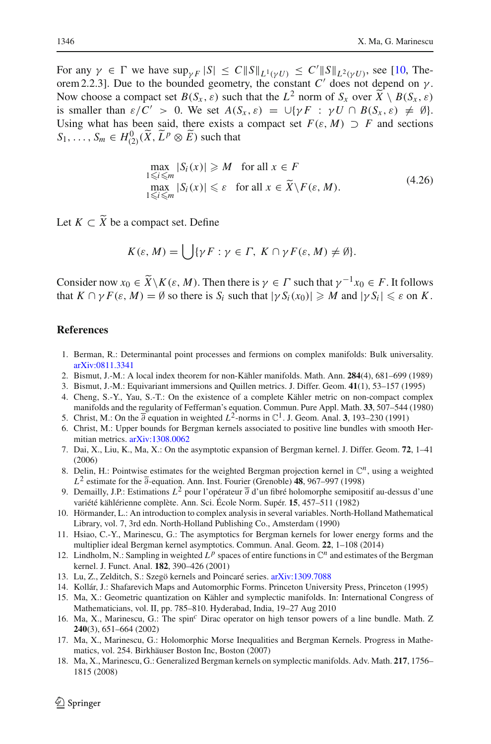For any  $\gamma \in \Gamma$  we have  $\sup_{\gamma F} |S| \leq C ||S||_{L^1(\gamma U)} \leq C'||S||_{L^2(\gamma U)}$ , see [\[10](#page-19-17), Theorem 2.2.3]. Due to the bounded geometry, the constant  $C'$  does not depend on  $\gamma$ . Now choose a compact set  $B(S_x, \varepsilon)$  such that the  $L^2$  norm of  $S_x$  over  $\widetilde{X} \setminus B(S_x, \varepsilon)$ is smaller than  $\varepsilon/C' > 0$ . We set  $A(S_x, \varepsilon) = \bigcup \{ \gamma F : \gamma U \cap B(S_x, \varepsilon) \neq \emptyset \}.$ Using what has been said, there exists a compact set  $F(\varepsilon, M) \supset F$  and sections  $S_1, \ldots, S_m \in H^0_{(2)}(\tilde{X}, \tilde{L}^p \otimes \tilde{E})$  such that

$$
\max_{1 \le i \le m} |S_i(x)| \ge M \quad \text{for all } x \in F
$$
  
\n
$$
\max_{1 \le i \le m} |S_i(x)| \le \varepsilon \quad \text{for all } x \in \widetilde{X} \setminus F(\varepsilon, M). \tag{4.26}
$$

Let  $K \subset \tilde{X}$  be a compact set. Define

$$
K(\varepsilon, M) = \bigcup \{ \gamma F : \gamma \in \Gamma, \ K \cap \gamma F(\varepsilon, M) \neq \emptyset \}.
$$

Consider now  $x_0 \in \widetilde{X} \backslash K(\varepsilon, M)$ . Then there is  $\gamma \in \Gamma$  such that  $\gamma^{-1}x_0 \in F$ . It follows that  $K \cap \gamma F(\varepsilon, M) = \emptyset$  so there is  $S_i$  such that  $|\gamma S_i(x_0)| \ge M$  and  $|\gamma S_i| \le \varepsilon$  on  $K$ .

## **References**

- <span id="page-19-7"></span>1. Berman, R.: Determinantal point processes and fermions on complex manifolds: Bulk universality. [arXiv:0811.3341](http://arxiv.org/abs/0811.3341)
- <span id="page-19-11"></span>2. Bismut, J.-M.: A local index theorem for non-Kähler manifolds. Math. Ann. **284**(4), 681–699 (1989)
- <span id="page-19-10"></span>3. Bismut, J.-M.: Equivariant immersions and Quillen metrics. J. Differ. Geom. **41**(1), 53–157 (1995)
- <span id="page-19-14"></span>4. Cheng, S.-Y., Yau, S.-T.: On the existence of a complete Kähler metric on non-compact complex manifolds and the regularity of Fefferman's equation. Commun. Pure Appl. Math. **33**, 507–544 (1980)
- <span id="page-19-0"></span>5. Christ, M.: On the  $\overline{\partial}$  equation in weighted  $L^2$ -norms in  $\mathbb{C}^1$ . J. Geom. Anal. **3**, 193–230 (1991)
- <span id="page-19-5"></span>6. Christ, M.: Upper bounds for Bergman kernels associated to positive line bundles with smooth Hermitian metrics. [arXiv:1308.0062](http://arxiv.org/abs/1308.0062)
- <span id="page-19-3"></span>7. Dai, X., Liu, K., Ma, X.: On the asymptotic expansion of Bergman kernel. J. Differ. Geom. **72**, 1–41 (2006)
- <span id="page-19-1"></span>8. Delin, H.: Pointwise estimates for the weighted Bergman projection kernel in  $\mathbb{C}^n$ , using a weighted *L*<sup>2</sup> estimate for the ∂-equation. Ann. Inst. Fourier (Grenoble) **48**, 967–997 (1998)
- <span id="page-19-15"></span>9. Demailly, J.P.: Estimations *L*<sup>2</sup> pour l'opérateur ∂ d'un fibré holomorphe semipositif au-dessus d'une variété kählérienne complète. Ann. Sci. École Norm. Supér. **15**, 457–511 (1982)
- <span id="page-19-17"></span>10. Hörmander, L.: An introduction to complex analysis in several variables. North-Holland Mathematical Library, vol. 7, 3rd edn. North-Holland Publishing Co., Amsterdam (1990)
- <span id="page-19-16"></span>11. Hsiao, C.-Y., Marinescu, G.: The asymptotics for Bergman kernels for lower energy forms and the multiplier ideal Bergman kernel asymptotics. Commun. Anal. Geom. **22**, 1–108 (2014)
- <span id="page-19-2"></span>12. Lindholm, N.: Sampling in weighted  $L^p$  spaces of entire functions in  $\mathbb{C}^n$  and estimates of the Bergman kernel. J. Funct. Anal. **182**, 390–426 (2001)
- <span id="page-19-6"></span>13. Lu, Z., Zelditch, S.: Szegö kernels and Poincaré series. [arXiv:1309.7088](http://arxiv.org/abs/1309.7088)
- <span id="page-19-12"></span>14. Kollár, J.: Shafarevich Maps and Automorphic Forms. Princeton University Press, Princeton (1995)
- <span id="page-19-8"></span>15. Ma, X.: Geometric quantization on Kähler and symplectic manifolds. In: International Congress of Mathematicians, vol. II, pp. 785–810. Hyderabad, India, 19–27 Aug 2010
- <span id="page-19-9"></span>16. Ma, X., Marinescu, G.: The spin*<sup>c</sup>* Dirac operator on high tensor powers of a line bundle. Math. Z **240**(3), 651–664 (2002)
- <span id="page-19-4"></span>17. Ma, X., Marinescu, G.: Holomorphic Morse Inequalities and Bergman Kernels. Progress in Mathematics, vol. 254. Birkhäuser Boston Inc, Boston (2007)
- <span id="page-19-13"></span>18. Ma, X., Marinescu, G.: Generalized Bergman kernels on symplectic manifolds. Adv. Math. **217**, 1756– 1815 (2008)